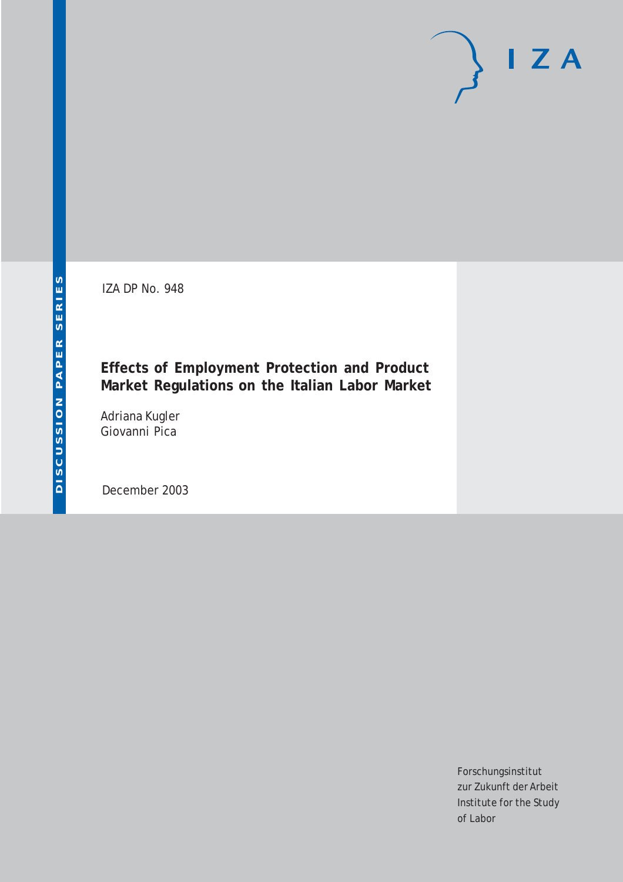IZA DP No. 948

## **Effects of Employment Protection and Product Market Regulations on the Italian Labor Market**

Adriana Kugler Giovanni Pica

December 2003

Forschungsinstitut zur Zukunft der Arbeit Institute for the Study of Labor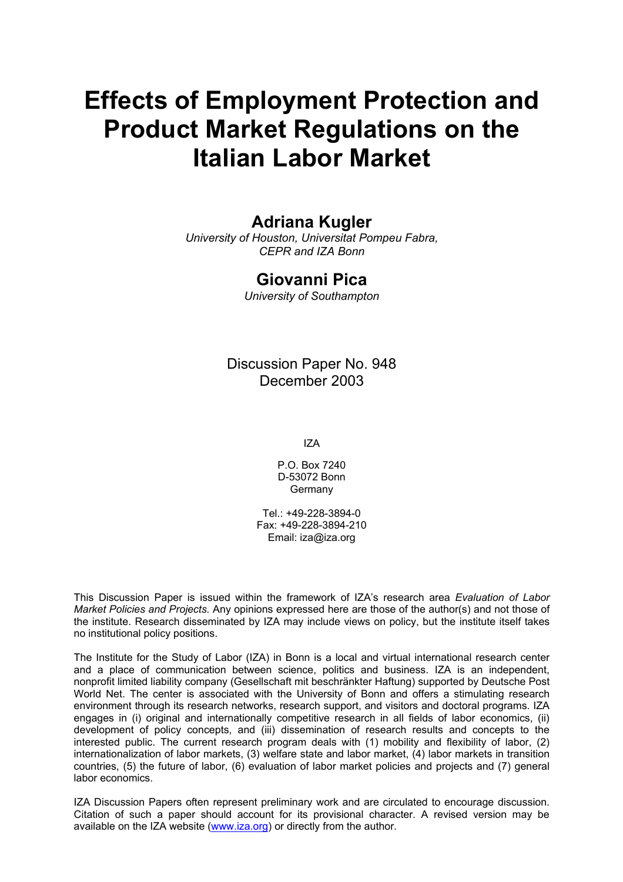# **Effects of Employment Protection and Product Market Regulations on the Italian Labor Market**

### **Adriana Kugler**

*University of Houston, Universitat Pompeu Fabra, CEPR and IZA Bonn* 

### **Giovanni Pica**

*University of Southampton* 

### Discussion Paper No. 948 December 2003

IZA

P.O. Box 7240 D-53072 Bonn Germany

 $Tel + 49-228-3894-0$ Fax: +49-228-3894-210 Email: [iza@iza.org](mailto:iza@iza.org)

This Discussion Paper is issued within the framework of IZA's research area *Evaluation of Labor Market Policies and Projects.* Any opinions expressed here are those of the author(s) and not those of the institute. Research disseminated by IZA may include views on policy, but the institute itself takes no institutional policy positions.

The Institute for the Study of Labor (IZA) in Bonn is a local and virtual international research center and a place of communication between science, politics and business. IZA is an independent, nonprofit limited liability company (Gesellschaft mit beschränkter Haftung) supported by Deutsche Post World Net. The center is associated with the University of Bonn and offers a stimulating research environment through its research networks, research support, and visitors and doctoral programs. IZA engages in (i) original and internationally competitive research in all fields of labor economics, (ii) development of policy concepts, and (iii) dissemination of research results and concepts to the interested public. The current research program deals with (1) mobility and flexibility of labor, (2) internationalization of labor markets, (3) welfare state and labor market, (4) labor markets in transition countries, (5) the future of labor, (6) evaluation of labor market policies and projects and (7) general labor economics.

IZA Discussion Papers often represent preliminary work and are circulated to encourage discussion. Citation of such a paper should account for its provisional character. A revised version may be available on the IZA website ([www.iza.org](http://www.iza.org/)) or directly from the author.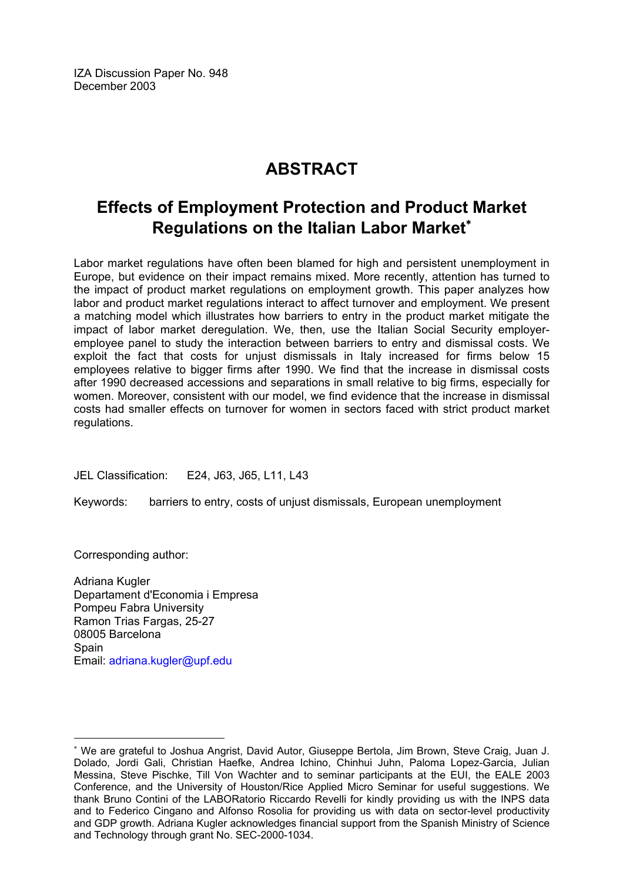IZA Discussion Paper No. 948 December 2003

# **ABSTRACT**

## **Effects of Employment Protection and Product Market Regulations on the Italian Labor Market**[∗](#page-2-0)

Labor market regulations have often been blamed for high and persistent unemployment in Europe, but evidence on their impact remains mixed. More recently, attention has turned to the impact of product market regulations on employment growth. This paper analyzes how labor and product market regulations interact to affect turnover and employment. We present a matching model which illustrates how barriers to entry in the product market mitigate the impact of labor market deregulation. We, then, use the Italian Social Security employeremployee panel to study the interaction between barriers to entry and dismissal costs. We exploit the fact that costs for unjust dismissals in Italy increased for firms below 15 employees relative to bigger firms after 1990. We find that the increase in dismissal costs after 1990 decreased accessions and separations in small relative to big firms, especially for women. Moreover, consistent with our model, we find evidence that the increase in dismissal costs had smaller effects on turnover for women in sectors faced with strict product market regulations.

JEL Classification: E24, J63, J65, L11, L43

Keywords: barriers to entry, costs of unjust dismissals, European unemployment

Corresponding author:

Adriana Kugler Departament d'Economia i Empresa Pompeu Fabra University Ramon Trias Fargas, 25-27 08005 Barcelona Spain Email: [adriana.kugler@upf.edu](mailto:adriana.kugler@upf.edu)

<span id="page-2-0"></span><sup>∗</sup> We are grateful to Joshua Angrist, David Autor, Giuseppe Bertola, Jim Brown, Steve Craig, Juan J. Dolado, Jordi Gali, Christian Haefke, Andrea Ichino, Chinhui Juhn, Paloma Lopez-Garcia, Julian Messina, Steve Pischke, Till Von Wachter and to seminar participants at the EUI, the EALE 2003 Conference, and the University of Houston/Rice Applied Micro Seminar for useful suggestions. We thank Bruno Contini of the LABORatorio Riccardo Revelli for kindly providing us with the INPS data and to Federico Cingano and Alfonso Rosolia for providing us with data on sector-level productivity and GDP growth. Adriana Kugler acknowledges financial support from the Spanish Ministry of Science and Technology through grant No. SEC-2000-1034.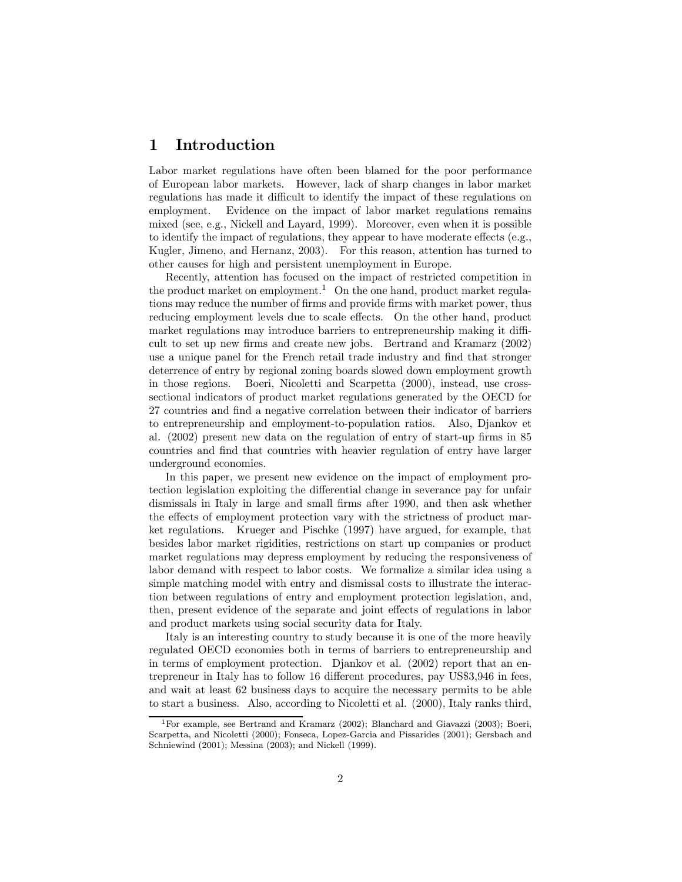#### 1 Introduction

Labor market regulations have often been blamed for the poor performance of European labor markets. However, lack of sharp changes in labor market regulations has made it difficult to identify the impact of these regulations on employment. Evidence on the impact of labor market regulations remains mixed (see, e.g., Nickell and Layard, 1999). Moreover, even when it is possible to identify the impact of regulations, they appear to have moderate effects (e.g., Kugler, Jimeno, and Hernanz, 2003). For this reason, attention has turned to other causes for high and persistent unemployment in Europe.

Recently, attention has focused on the impact of restricted competition in the product market on employment.<sup>1</sup> On the one hand, product market regulations may reduce the number of firms and provide firms with market power, thus reducing employment levels due to scale effects. On the other hand, product market regulations may introduce barriers to entrepreneurship making it difficult to set up new firms and create new jobs. Bertrand and Kramarz (2002) use a unique panel for the French retail trade industry and find that stronger deterrence of entry by regional zoning boards slowed down employment growth in those regions. Boeri, Nicoletti and Scarpetta (2000), instead, use crosssectional indicators of product market regulations generated by the OECD for 27 countries and find a negative correlation between their indicator of barriers to entrepreneurship and employment-to-population ratios. Also, Djankov et al. (2002) present new data on the regulation of entry of start-up firms in 85 countries and find that countries with heavier regulation of entry have larger underground economies.

In this paper, we present new evidence on the impact of employment protection legislation exploiting the differential change in severance pay for unfair dismissals in Italy in large and small firms after 1990, and then ask whether the effects of employment protection vary with the strictness of product market regulations. Krueger and Pischke (1997) have argued, for example, that besides labor market rigidities, restrictions on start up companies or product market regulations may depress employment by reducing the responsiveness of labor demand with respect to labor costs. We formalize a similar idea using a simple matching model with entry and dismissal costs to illustrate the interaction between regulations of entry and employment protection legislation, and, then, present evidence of the separate and joint effects of regulations in labor and product markets using social security data for Italy.

Italy is an interesting country to study because it is one of the more heavily regulated OECD economies both in terms of barriers to entrepreneurship and in terms of employment protection. Djankov et al. (2002) report that an entrepreneur in Italy has to follow 16 different procedures, pay US\$3,946 in fees, and wait at least 62 business days to acquire the necessary permits to be able to start a business. Also, according to Nicoletti et al. (2000), Italy ranks third,

<sup>1</sup>For example, see Bertrand and Kramarz (2002); Blanchard and Giavazzi (2003); Boeri, Scarpetta, and Nicoletti (2000); Fonseca, Lopez-Garcia and Pissarides (2001); Gersbach and Schniewind (2001); Messina (2003); and Nickell (1999).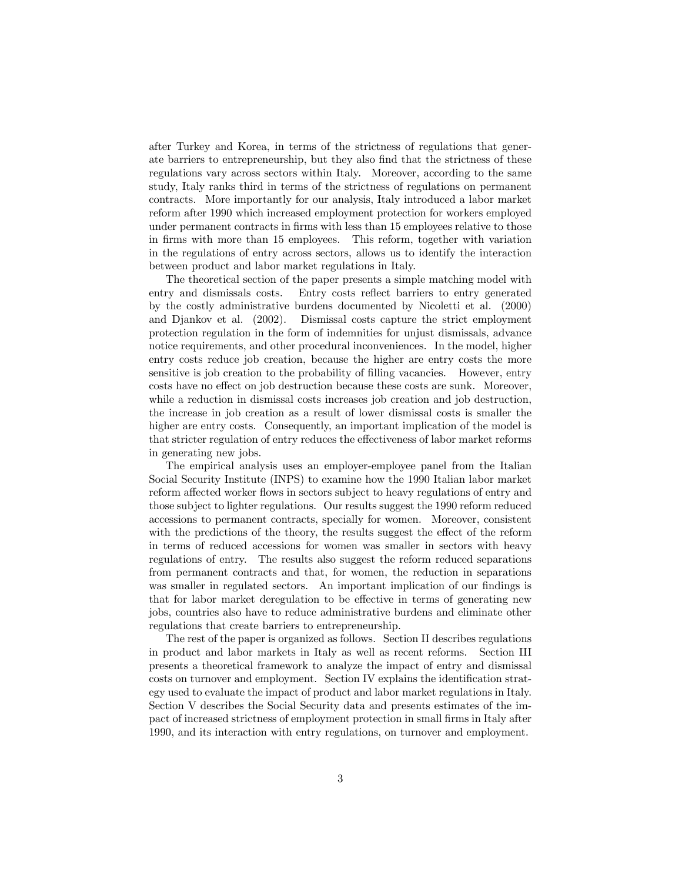after Turkey and Korea, in terms of the strictness of regulations that generate barriers to entrepreneurship, but they also find that the strictness of these regulations vary across sectors within Italy. Moreover, according to the same study, Italy ranks third in terms of the strictness of regulations on permanent contracts. More importantly for our analysis, Italy introduced a labor market reform after 1990 which increased employment protection for workers employed under permanent contracts in firms with less than 15 employees relative to those in firms with more than 15 employees. This reform, together with variation in the regulations of entry across sectors, allows us to identify the interaction between product and labor market regulations in Italy.

The theoretical section of the paper presents a simple matching model with entry and dismissals costs. Entry costs reflect barriers to entry generated by the costly administrative burdens documented by Nicoletti et al. (2000) and Djankov et al. (2002). Dismissal costs capture the strict employment protection regulation in the form of indemnities for unjust dismissals, advance notice requirements, and other procedural inconveniences. In the model, higher entry costs reduce job creation, because the higher are entry costs the more sensitive is job creation to the probability of filling vacancies. However, entry costs have no effect on job destruction because these costs are sunk. Moreover, while a reduction in dismissal costs increases job creation and job destruction, the increase in job creation as a result of lower dismissal costs is smaller the higher are entry costs. Consequently, an important implication of the model is that stricter regulation of entry reduces the effectiveness of labor market reforms in generating new jobs.

The empirical analysis uses an employer-employee panel from the Italian Social Security Institute (INPS) to examine how the 1990 Italian labor market reform affected worker flows in sectors subject to heavy regulations of entry and those subject to lighter regulations. Our results suggest the 1990 reform reduced accessions to permanent contracts, specially for women. Moreover, consistent with the predictions of the theory, the results suggest the effect of the reform in terms of reduced accessions for women was smaller in sectors with heavy regulations of entry. The results also suggest the reform reduced separations from permanent contracts and that, for women, the reduction in separations was smaller in regulated sectors. An important implication of our findings is that for labor market deregulation to be effective in terms of generating new jobs, countries also have to reduce administrative burdens and eliminate other regulations that create barriers to entrepreneurship.

The rest of the paper is organized as follows. Section II describes regulations in product and labor markets in Italy as well as recent reforms. Section III presents a theoretical framework to analyze the impact of entry and dismissal costs on turnover and employment. Section IV explains the identification strategy used to evaluate the impact of product and labor market regulations in Italy. Section V describes the Social Security data and presents estimates of the impact of increased strictness of employment protection in small firms in Italy after 1990, and its interaction with entry regulations, on turnover and employment.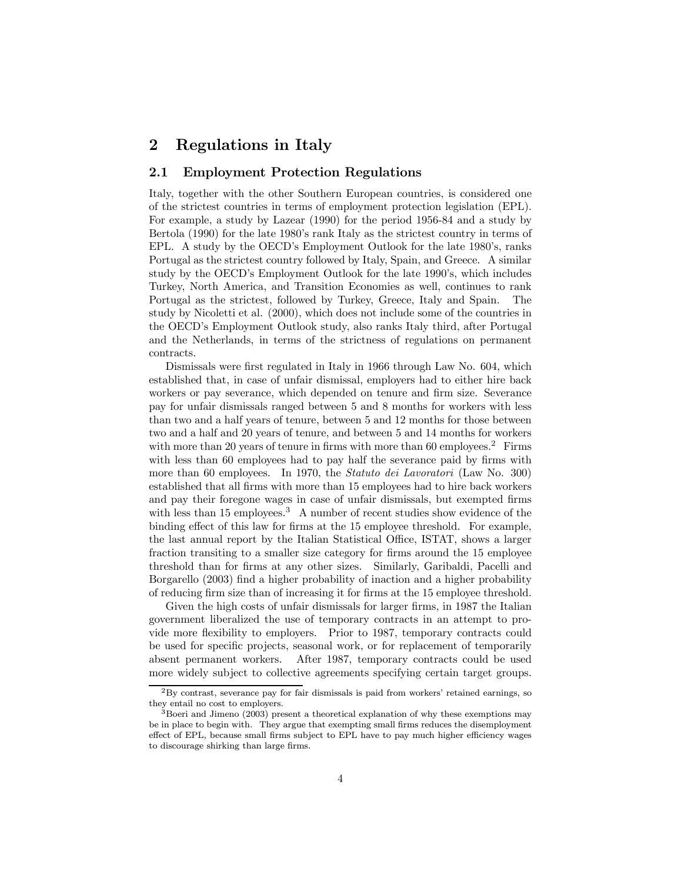### 2 Regulations in Italy

#### 2.1 Employment Protection Regulations

Italy, together with the other Southern European countries, is considered one of the strictest countries in terms of employment protection legislation (EPL). For example, a study by Lazear (1990) for the period 1956-84 and a study by Bertola (1990) for the late 1980's rank Italy as the strictest country in terms of EPL. A study by the OECD's Employment Outlook for the late 1980's, ranks Portugal as the strictest country followed by Italy, Spain, and Greece. A similar study by the OECD's Employment Outlook for the late 1990's, which includes Turkey, North America, and Transition Economies as well, continues to rank Portugal as the strictest, followed by Turkey, Greece, Italy and Spain. The study by Nicoletti et al. (2000), which does not include some of the countries in the OECD's Employment Outlook study, also ranks Italy third, after Portugal and the Netherlands, in terms of the strictness of regulations on permanent contracts.

Dismissals were first regulated in Italy in 1966 through Law No. 604, which established that, in case of unfair dismissal, employers had to either hire back workers or pay severance, which depended on tenure and firm size. Severance pay for unfair dismissals ranged between 5 and 8 months for workers with less than two and a half years of tenure, between 5 and 12 months for those between two and a half and 20 years of tenure, and between 5 and 14 months for workers with more than 20 years of tenure in firms with more than  $60 \text{ employees.}^2$  Firms with less than 60 employees had to pay half the severance paid by firms with more than 60 employees. In 1970, the *Statuto dei Lavoratori* (Law No. 300) established that all firms with more than 15 employees had to hire back workers and pay their foregone wages in case of unfair dismissals, but exempted firms with less than 15 employees.<sup>3</sup> A number of recent studies show evidence of the binding effect of this law for firms at the 15 employee threshold. For example, the last annual report by the Italian Statistical Office, ISTAT, shows a larger fraction transiting to a smaller size category for firms around the 15 employee threshold than for firms at any other sizes. Similarly, Garibaldi, Pacelli and Borgarello (2003) find a higher probability of inaction and a higher probability of reducing firm size than of increasing it for firms at the 15 employee threshold.

Given the high costs of unfair dismissals for larger firms, in 1987 the Italian government liberalized the use of temporary contracts in an attempt to provide more flexibility to employers. Prior to 1987, temporary contracts could be used for specific projects, seasonal work, or for replacement of temporarily absent permanent workers. After 1987, temporary contracts could be used more widely subject to collective agreements specifying certain target groups.

<sup>2</sup>By contrast, severance pay for fair dismissals is paid from workers' retained earnings, so they entail no cost to employers.

<sup>&</sup>lt;sup>3</sup>Boeri and Jimeno (2003) present a theoretical explanation of why these exemptions may be in place to begin with. They argue that exempting small firms reduces the disemployment effect of EPL, because small firms subject to EPL have to pay much higher efficiency wages to discourage shirking than large firms.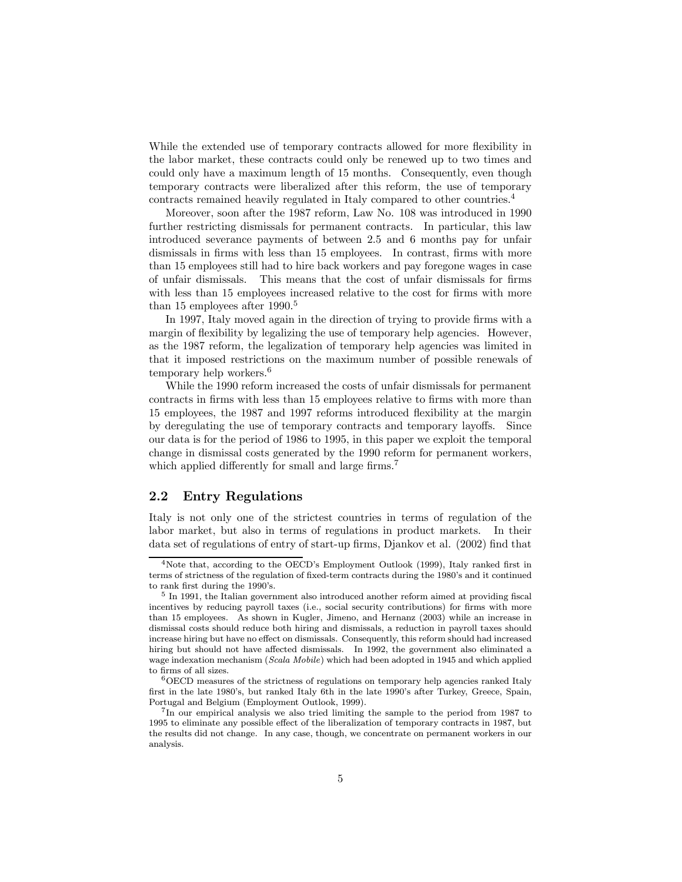While the extended use of temporary contracts allowed for more flexibility in the labor market, these contracts could only be renewed up to two times and could only have a maximum length of 15 months. Consequently, even though temporary contracts were liberalized after this reform, the use of temporary contracts remained heavily regulated in Italy compared to other countries.<sup>4</sup>

Moreover, soon after the 1987 reform, Law No. 108 was introduced in 1990 further restricting dismissals for permanent contracts. In particular, this law introduced severance payments of between 2.5 and 6 months pay for unfair dismissals in firms with less than 15 employees. In contrast, firms with more than 15 employees still had to hire back workers and pay foregone wages in case of unfair dismissals. This means that the cost of unfair dismissals for firms with less than 15 employees increased relative to the cost for firms with more than 15 employees after 1990.<sup>5</sup>

In 1997, Italy moved again in the direction of trying to provide firms with a margin of flexibility by legalizing the use of temporary help agencies. However, as the 1987 reform, the legalization of temporary help agencies was limited in that it imposed restrictions on the maximum number of possible renewals of temporary help workers.<sup>6</sup>

While the 1990 reform increased the costs of unfair dismissals for permanent contracts in firms with less than 15 employees relative to firms with more than 15 employees, the 1987 and 1997 reforms introduced flexibility at the margin by deregulating the use of temporary contracts and temporary layoffs. Since our data is for the period of 1986 to 1995, in this paper we exploit the temporal change in dismissal costs generated by the 1990 reform for permanent workers, which applied differently for small and large firms.<sup>7</sup>

#### 2.2 Entry Regulations

Italy is not only one of the strictest countries in terms of regulation of the labor market, but also in terms of regulations in product markets. In their data set of regulations of entry of start-up firms, Djankov et al. (2002) find that

<sup>&</sup>lt;sup>4</sup>Note that, according to the OECD's Employment Outlook (1999), Italy ranked first in terms of strictness of the regulation of fixed-term contracts during the 1980's and it continued to rank first during the 1990's.

<sup>5</sup> In 1991, the Italian government also introduced another reform aimed at providing fiscal incentives by reducing payroll taxes (i.e., social security contributions) for firms with more than 15 employees. As shown in Kugler, Jimeno, and Hernanz (2003) while an increase in dismissal costs should reduce both hiring and dismissals, a reduction in payroll taxes should increase hiring but have no effect on dismissals. Consequently, this reform should had increased hiring but should not have affected dismissals. In 1992, the government also eliminated a wage indexation mechanism (Scala Mobile) which had been adopted in 1945 and which applied to firms of all sizes.

 $^6\rm{OECD}$  measures of the strictness of regulations on temporary help agencies ranked Italy first in the late 1980's, but ranked Italy 6th in the late 1990's after Turkey, Greece, Spain, Portugal and Belgium (Employment Outlook, 1999).

<sup>&</sup>lt;sup>7</sup>In our empirical analysis we also tried limiting the sample to the period from 1987 to 1995 to eliminate any possible effect of the liberalization of temporary contracts in 1987, but the results did not change. In any case, though, we concentrate on permanent workers in our analysis.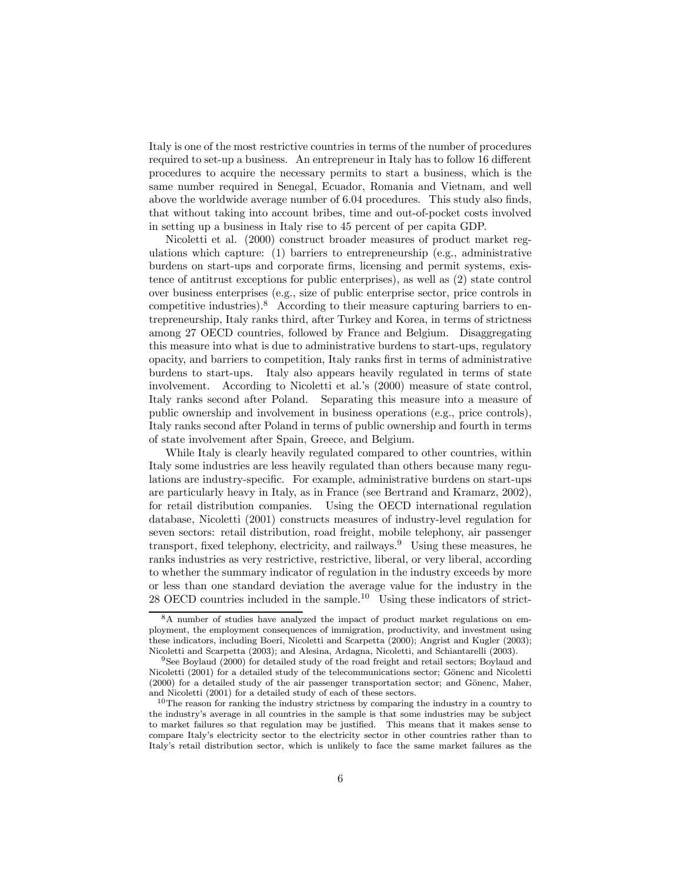Italy is one of the most restrictive countries in terms of the number of procedures required to set-up a business. An entrepreneur in Italy has to follow 16 different procedures to acquire the necessary permits to start a business, which is the same number required in Senegal, Ecuador, Romania and Vietnam, and well above the worldwide average number of 6.04 procedures. This study also finds, that without taking into account bribes, time and out-of-pocket costs involved in setting up a business in Italy rise to 45 percent of per capita GDP.

Nicoletti et al. (2000) construct broader measures of product market regulations which capture:  $(1)$  barriers to entrepreneurship (e.g., administrative burdens on start-ups and corporate firms, licensing and permit systems, existence of antitrust exceptions for public enterprises), as well as (2) state control over business enterprises (e.g., size of public enterprise sector, price controls in competitive industries).<sup>8</sup> According to their measure capturing barriers to entrepreneurship, Italy ranks third, after Turkey and Korea, in terms of strictness among 27 OECD countries, followed by France and Belgium. Disaggregating this measure into what is due to administrative burdens to start-ups, regulatory opacity, and barriers to competition, Italy ranks first in terms of administrative burdens to start-ups. Italy also appears heavily regulated in terms of state involvement. According to Nicoletti et al.'s (2000) measure of state control, Italy ranks second after Poland. Separating this measure into a measure of public ownership and involvement in business operations (e.g., price controls), Italy ranks second after Poland in terms of public ownership and fourth in terms of state involvement after Spain, Greece, and Belgium.

While Italy is clearly heavily regulated compared to other countries, within Italy some industries are less heavily regulated than others because many regulations are industry-specific. For example, administrative burdens on start-ups are particularly heavy in Italy, as in France (see Bertrand and Kramarz, 2002), for retail distribution companies. Using the OECD international regulation database, Nicoletti (2001) constructs measures of industry-level regulation for seven sectors: retail distribution, road freight, mobile telephony, air passenger transport, fixed telephony, electricity, and railways.<sup>9</sup> Using these measures, he ranks industries as very restrictive, restrictive, liberal, or very liberal, according to whether the summary indicator of regulation in the industry exceeds by more or less than one standard deviation the average value for the industry in the 28 OECD countries included in the sample.<sup>10</sup> Using these indicators of strict-

<sup>8</sup>A number of studies have analyzed the impact of product market regulations on employment, the employment consequences of immigration, productivity, and investment using these indicators, including Boeri, Nicoletti and Scarpetta (2000); Angrist and Kugler (2003); Nicoletti and Scarpetta (2003); and Alesina, Ardagna, Nicoletti, and Schiantarelli (2003).

<sup>9</sup>See Boylaud (2000) for detailed study of the road freight and retail sectors; Boylaud and Nicoletti (2001) for a detailed study of the telecommunications sector; Gönenc and Nicoletti  $(2000)$  for a detailed study of the air passenger transportation sector; and Gönenc, Maher, and Nicoletti (2001) for a detailed study of each of these sectors.

<sup>10</sup>The reason for ranking the industry strictness by comparing the industry in a country to the industry's average in all countries in the sample is that some industries may be subject to market failures so that regulation may be justified. This means that it makes sense to compare Italy's electricity sector to the electricity sector in other countries rather than to Italy's retail distribution sector, which is unlikely to face the same market failures as the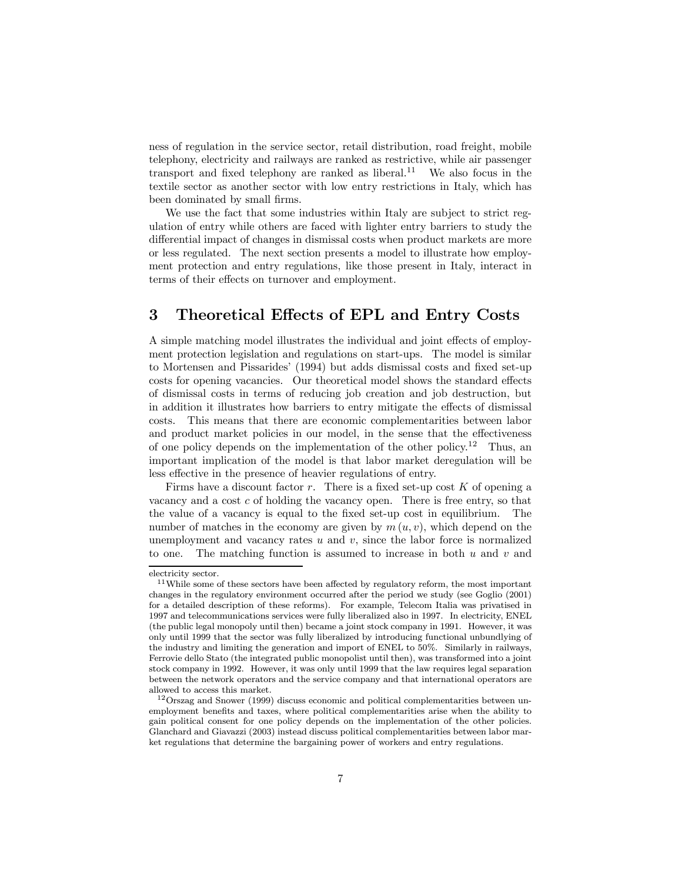ness of regulation in the service sector, retail distribution, road freight, mobile telephony, electricity and railways are ranked as restrictive, while air passenger transport and fixed telephony are ranked as liberal.<sup>11</sup> We also focus in the textile sector as another sector with low entry restrictions in Italy, which has been dominated by small firms.

We use the fact that some industries within Italy are subject to strict regulation of entry while others are faced with lighter entry barriers to study the differential impact of changes in dismissal costs when product markets are more or less regulated. The next section presents a model to illustrate how employment protection and entry regulations, like those present in Italy, interact in terms of their effects on turnover and employment.

### 3 Theoretical Effects of EPL and Entry Costs

A simple matching model illustrates the individual and joint effects of employment protection legislation and regulations on start-ups. The model is similar to Mortensen and Pissarides' (1994) but adds dismissal costs and fixed set-up costs for opening vacancies. Our theoretical model shows the standard effects of dismissal costs in terms of reducing job creation and job destruction, but in addition it illustrates how barriers to entry mitigate the effects of dismissal costs. This means that there are economic complementarities between labor and product market policies in our model, in the sense that the effectiveness of one policy depends on the implementation of the other policy.<sup>12</sup> Thus, an important implication of the model is that labor market deregulation will be less effective in the presence of heavier regulations of entry.

Firms have a discount factor  $r$ . There is a fixed set-up cost  $K$  of opening a vacancy and a cost c of holding the vacancy open. There is free entry, so that the value of a vacancy is equal to the fixed set-up cost in equilibrium. The number of matches in the economy are given by  $m(u, v)$ , which depend on the unemployment and vacancy rates  $u$  and  $v$ , since the labor force is normalized to one. The matching function is assumed to increase in both  $u$  and  $v$  and

electricity sector.

<sup>&</sup>lt;sup>11</sup>While some of these sectors have been affected by regulatory reform, the most important changes in the regulatory environment occurred after the period we study (see Goglio (2001) for a detailed description of these reforms). For example, Telecom Italia was privatised in 1997 and telecommunications services were fully liberalized also in 1997. In electricity, ENEL (the public legal monopoly until then) became a joint stock company in 1991. However, it was only until 1999 that the sector was fully liberalized by introducing functional unbundlying of the industry and limiting the generation and import of ENEL to 50%. Similarly in railways, Ferrovie dello Stato (the integrated public monopolist until then), was transformed into a joint stock company in 1992. However, it was only until 1999 that the law requires legal separation between the network operators and the service company and that international operators are allowed to access this market.

<sup>12</sup>Orszag and Snower (1999) discuss economic and political complementarities between unemployment benefits and taxes, where political complementarities arise when the ability to gain political consent for one policy depends on the implementation of the other policies. Glanchard and Giavazzi (2003) instead discuss political complementarities between labor market regulations that determine the bargaining power of workers and entry regulations.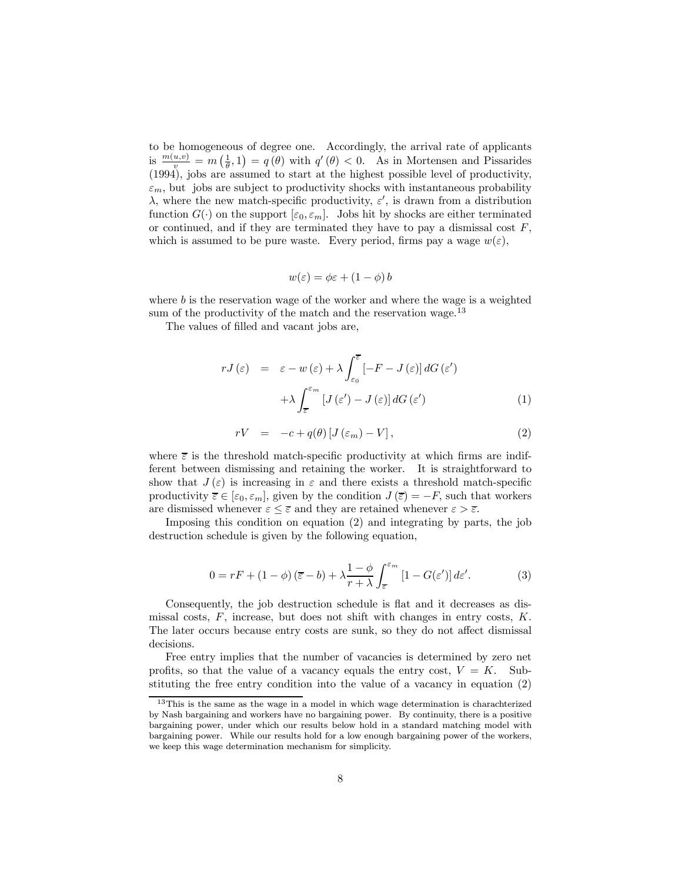to be homogeneous of degree one. Accordingly, the arrival rate of applicants is  $\frac{m(u,v)}{v} = m\left(\frac{1}{\theta},1\right) = q(\theta)$  with  $q'(\theta) < 0$ . As in Mortensen and Pissarides (1994), jobs are assumed to start at the highest possible level of productivity,  $\varepsilon_m$ , but jobs are subject to productivity shocks with instantaneous probability  $\lambda$ , where the new match-specific productivity,  $\varepsilon'$ , is drawn from a distribution function  $G(\cdot)$  on the support  $[\varepsilon_0, \varepsilon_m]$ . Jobs hit by shocks are either terminated or continued, and if they are terminated they have to pay a dismissal cost  $F$ , which is assumed to be pure waste. Every period, firms pay a wage  $w(\varepsilon)$ ,

$$
w(\varepsilon) = \phi \varepsilon + (1 - \phi) b
$$

where  $b$  is the reservation wage of the worker and where the wage is a weighted sum of the productivity of the match and the reservation wage.<sup>13</sup>

The values of filled and vacant jobs are,

$$
rJ(\varepsilon) = \varepsilon - w(\varepsilon) + \lambda \int_{\varepsilon_0}^{\overline{\varepsilon}} [-F - J(\varepsilon)] dG(\varepsilon')
$$
  
 
$$
+ \lambda \int_{\overline{\varepsilon}}^{\varepsilon_m} [J(\varepsilon') - J(\varepsilon)] dG(\varepsilon')
$$
 (1)

$$
rV = -c + q(\theta) \left[ J(\varepsilon_m) - V \right], \tag{2}
$$

where  $\bar{\varepsilon}$  is the threshold match-specific productivity at which firms are indifferent between dismissing and retaining the worker. It is straightforward to show that  $J(\varepsilon)$  is increasing in  $\varepsilon$  and there exists a threshold match-specific productivity  $\overline{\varepsilon} \in [\varepsilon_0, \varepsilon_m]$ , given by the condition  $J(\overline{\varepsilon}) = -F$ , such that workers are dismissed whenever  $\varepsilon \leq \overline{\varepsilon}$  and they are retained whenever  $\varepsilon > \overline{\varepsilon}$ .

Imposing this condition on equation (2) and integrating by parts, the job destruction schedule is given by the following equation,

$$
0 = rF + (1 - \phi)\left(\overline{\varepsilon} - b\right) + \lambda \frac{1 - \phi}{r + \lambda} \int_{\overline{\varepsilon}}^{\varepsilon_m} \left[1 - G(\varepsilon')\right] d\varepsilon'.\tag{3}
$$

Consequently, the job destruction schedule is flat and it decreases as dismissal costs,  $F$ , increase, but does not shift with changes in entry costs,  $K$ . The later occurs because entry costs are sunk, so they do not affect dismissal decisions.

Free entry implies that the number of vacancies is determined by zero net profits, so that the value of a vacancy equals the entry cost,  $V = K$ . Substituting the free entry condition into the value of a vacancy in equation (2)

<sup>13</sup>This is the same as the wage in a model in which wage determination is charachterized by Nash bargaining and workers have no bargaining power. By continuity, there is a positive bargaining power, under which our results below hold in a standard matching model with bargaining power. While our results hold for a low enough bargaining power of the workers, we keep this wage determination mechanism for simplicity.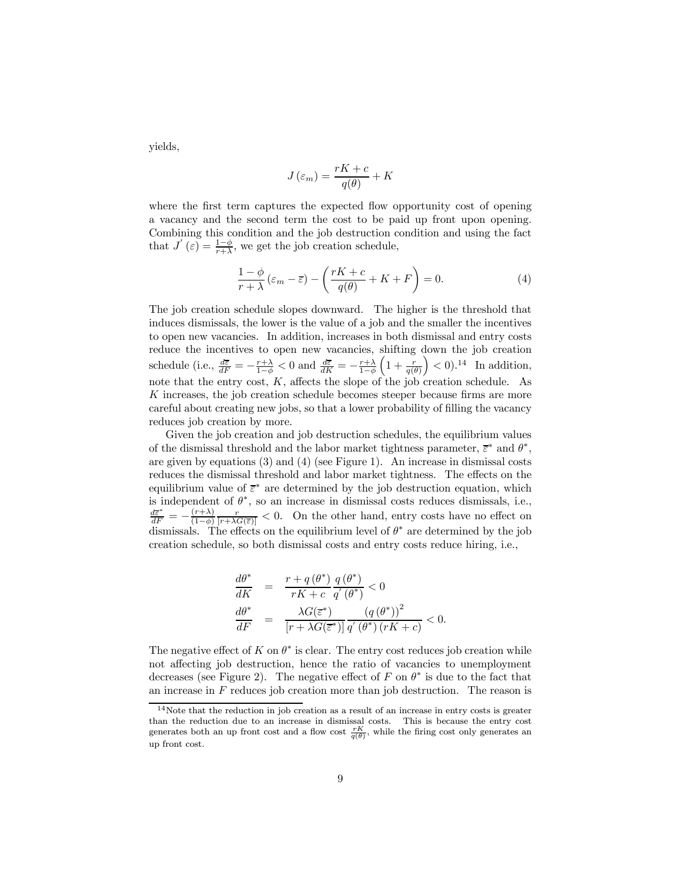yields,

$$
J\left(\varepsilon_{m}\right) = \frac{rK + c}{q(\theta)} + K
$$

where the first term captures the expected flow opportunity cost of opening a vacancy and the second term the cost to be paid up front upon opening. Combining this condition and the job destruction condition and using the fact that  $J'(\varepsilon) = \frac{1-\phi}{r+\lambda}$ , we get the job creation schedule,

$$
\frac{1-\phi}{r+\lambda}\left(\varepsilon_m - \overline{\varepsilon}\right) - \left(\frac{rK+c}{q(\theta)} + K + F\right) = 0.
$$
\n(4)

The job creation schedule slopes downward. The higher is the threshold that induces dismissals, the lower is the value of a job and the smaller the incentives to open new vacancies. In addition, increases in both dismissal and entry costs reduce the incentives to open new vacancies, shifting down the job creation schedule (i.e.,  $\frac{d\bar{\varepsilon}}{dF} = -\frac{r+\lambda}{1-\phi} < 0$  and  $\frac{d\bar{\varepsilon}}{dK} = -\frac{r+\lambda}{1-\phi}$  $\left(1+\frac{r}{q(\theta)}\right)$  $\Big) < 0$ .<sup>14</sup> In addition, note that the entry cost, K, affects the slope of the job creation schedule. As K increases, the job creation schedule becomes steeper because firms are more careful about creating new jobs, so that a lower probability of filling the vacancy reduces job creation by more.

Given the job creation and job destruction schedules, the equilibrium values of the dismissal threshold and the labor market tightness parameter,  $\bar{\epsilon}^*$  and  $\theta^*$ , are given by equations (3) and (4) (see Figure 1). An increase in dismissal costs reduces the dismissal threshold and labor market tightness. The effects on the equilibrium value of  $\bar{\varepsilon}^*$  are determined by the job destruction equation, which is independent of  $\theta^*$ , so an increase in dismissal costs reduces dismissals, i.e.,  $\frac{d\bar{\varepsilon}^*}{dF} = -\frac{(r+\lambda)}{(1-\phi)}\frac{r}{[r+\lambda G(\bar{\varepsilon})]} < 0.$  On the other hand, entry costs have no effect on dismissals. The effects on the equilibrium level of  $\theta^*$  are determined by the job creation schedule, so both dismissal costs and entry costs reduce hiring, i.e.,

$$
\begin{array}{rcl}\n\frac{d\theta^*}{dK} & = & \frac{r + q\left(\theta^*\right)}{rK + c} \frac{q\left(\theta^*\right)}{q'\left(\theta^*\right)} < 0 \\
\frac{d\theta^*}{dF} & = & \frac{\lambda G(\overline{\varepsilon}^*)}{\left[r + \lambda G(\overline{\varepsilon}^*)\right]} \frac{\left(q\left(\theta^*\right)\right)^2}{q'\left(\theta^*\right)\left(rK + c\right)} < 0.\n\end{array}
$$

The negative effect of K on  $\theta^*$  is clear. The entry cost reduces job creation while not affecting job destruction, hence the ratio of vacancies to unemployment decreases (see Figure 2). The negative effect of F on  $\theta^*$  is due to the fact that an increase in  $F$  reduces job creation more than job destruction. The reason is

 $14$ Note that the reduction in job creation as a result of an increase in entry costs is greater than the reduction due to an increase in dismissal costs. This is because the entry cost generates both an up front cost and a flow cost  $\frac{rK}{q(\theta)}$ , while the firing cost only generates an up front cost.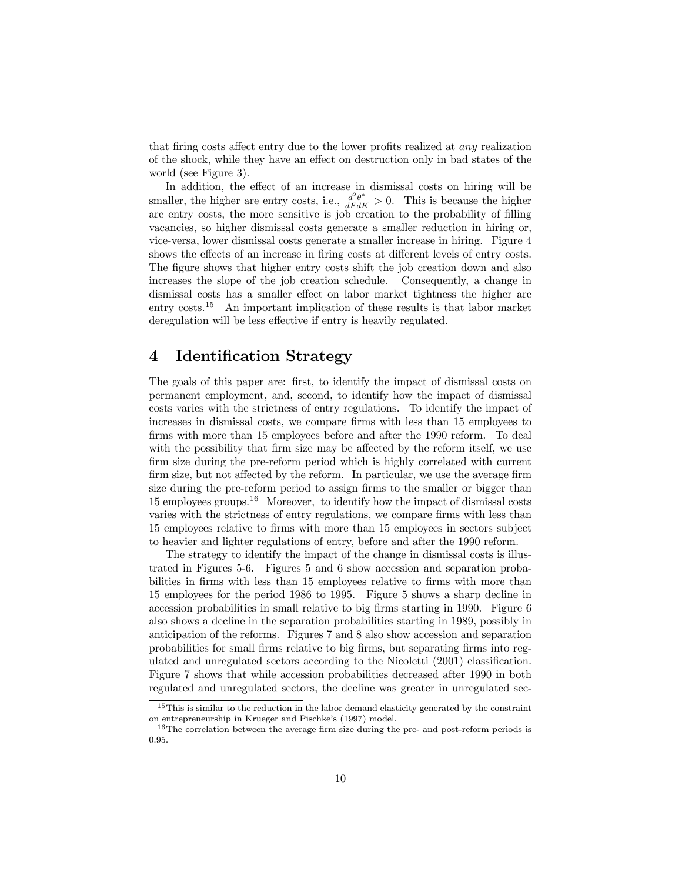that firing costs affect entry due to the lower profits realized at any realization of the shock, while they have an effect on destruction only in bad states of the world (see Figure 3).

In addition, the effect of an increase in dismissal costs on hiring will be smaller, the higher are entry costs, i.e.,  $\frac{d^2\theta^*}{dF dK} > 0$ . This is because the higher are entry costs, the more sensitive is job creation to the probability of filling vacancies, so higher dismissal costs generate a smaller reduction in hiring or, vice-versa, lower dismissal costs generate a smaller increase in hiring. Figure 4 shows the effects of an increase in firing costs at different levels of entry costs. The figure shows that higher entry costs shift the job creation down and also increases the slope of the job creation schedule. Consequently, a change in dismissal costs has a smaller effect on labor market tightness the higher are entry costs.<sup>15</sup> An important implication of these results is that labor market deregulation will be less effective if entry is heavily regulated.

### 4 Identification Strategy

The goals of this paper are: first, to identify the impact of dismissal costs on permanent employment, and, second, to identify how the impact of dismissal costs varies with the strictness of entry regulations. To identify the impact of increases in dismissal costs, we compare firms with less than 15 employees to firms with more than 15 employees before and after the 1990 reform. To deal with the possibility that firm size may be affected by the reform itself, we use firm size during the pre-reform period which is highly correlated with current firm size, but not affected by the reform. In particular, we use the average firm size during the pre-reform period to assign firms to the smaller or bigger than 15 employees groups.<sup>16</sup> Moreover, to identify how the impact of dismissal costs varies with the strictness of entry regulations, we compare firms with less than 15 employees relative to firms with more than 15 employees in sectors subject to heavier and lighter regulations of entry, before and after the 1990 reform.

The strategy to identify the impact of the change in dismissal costs is illustrated in Figures 5-6. Figures 5 and 6 show accession and separation probabilities in firms with less than 15 employees relative to firms with more than 15 employees for the period 1986 to 1995. Figure 5 shows a sharp decline in accession probabilities in small relative to big firms starting in 1990. Figure 6 also shows a decline in the separation probabilities starting in 1989, possibly in anticipation of the reforms. Figures 7 and 8 also show accession and separation probabilities for small firms relative to big firms, but separating firms into regulated and unregulated sectors according to the Nicoletti (2001) classification. Figure 7 shows that while accession probabilities decreased after 1990 in both regulated and unregulated sectors, the decline was greater in unregulated sec-

<sup>&</sup>lt;sup>15</sup>This is similar to the reduction in the labor demand elasticity generated by the constraint on entrepreneurship in Krueger and Pischke's (1997) model.

<sup>&</sup>lt;sup>16</sup>The correlation between the average firm size during the pre- and post-reform periods is 0.95.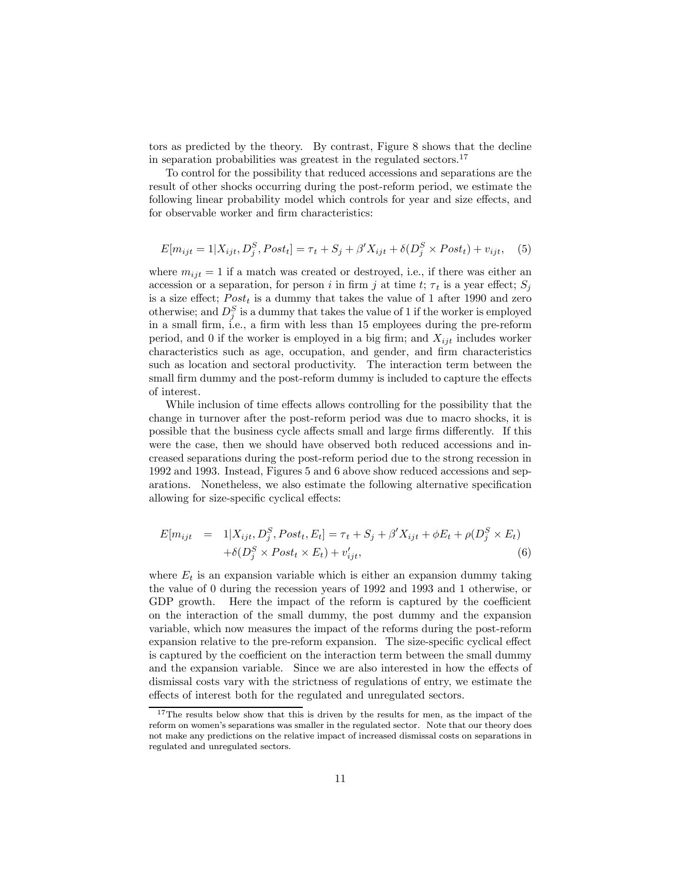tors as predicted by the theory. By contrast, Figure 8 shows that the decline in separation probabilities was greatest in the regulated sectors.<sup>17</sup>

To control for the possibility that reduced accessions and separations are the result of other shocks occurring during the post-reform period, we estimate the following linear probability model which controls for year and size effects, and for observable worker and firm characteristics:

$$
E[m_{ijt} = 1 | X_{ijt}, D_j^S, Post_t] = \tau_t + S_j + \beta' X_{ijt} + \delta(D_j^S \times Post_t) + v_{ijt}, \quad (5)
$$

where  $m_{ijt} = 1$  if a match was created or destroyed, i.e., if there was either an accession or a separation, for person i in firm j at time t;  $\tau_t$  is a year effect;  $S_i$ is a size effect;  $Post<sub>t</sub>$  is a dummy that takes the value of 1 after 1990 and zero otherwise; and  $D_j^S$  is a dummy that takes the value of 1 if the worker is employed in a small firm, i.e., a firm with less than 15 employees during the pre-reform period, and 0 if the worker is employed in a big firm; and  $X_{i}$  includes worker characteristics such as age, occupation, and gender, and firm characteristics such as location and sectoral productivity. The interaction term between the small firm dummy and the post-reform dummy is included to capture the effects of interest.

While inclusion of time effects allows controlling for the possibility that the change in turnover after the post-reform period was due to macro shocks, it is possible that the business cycle affects small and large firms differently. If this were the case, then we should have observed both reduced accessions and increased separations during the post-reform period due to the strong recession in 1992 and 1993. Instead, Figures 5 and 6 above show reduced accessions and separations. Nonetheless, we also estimate the following alternative specification allowing for size-specific cyclical effects:

$$
E[m_{ijt} = 1|X_{ijt}, D_j^S, Post_t, E_t] = \tau_t + S_j + \beta' X_{ijt} + \phi E_t + \rho(D_j^S \times E_t)
$$
  
+ 
$$
\delta(D_j^S \times Post_t \times E_t) + v'_{ijt},
$$
 (6)

where  $E_t$  is an expansion variable which is either an expansion dummy taking the value of 0 during the recession years of 1992 and 1993 and 1 otherwise, or GDP growth. Here the impact of the reform is captured by the coefficient on the interaction of the small dummy, the post dummy and the expansion variable, which now measures the impact of the reforms during the post-reform expansion relative to the pre-reform expansion. The size-specific cyclical effect is captured by the coefficient on the interaction term between the small dummy and the expansion variable. Since we are also interested in how the effects of dismissal costs vary with the strictness of regulations of entry, we estimate the effects of interest both for the regulated and unregulated sectors.

<sup>&</sup>lt;sup>17</sup>The results below show that this is driven by the results for men, as the impact of the reform on women's separations was smaller in the regulated sector. Note that our theory does not make any predictions on the relative impact of increased dismissal costs on separations in regulated and unregulated sectors.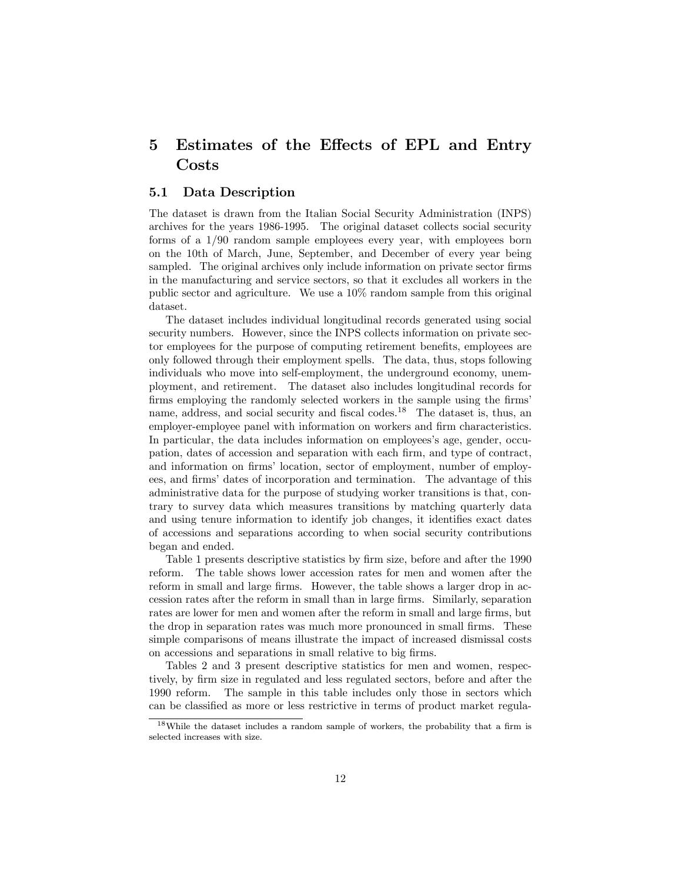### 5 Estimates of the Effects of EPL and Entry Costs

#### 5.1 Data Description

The dataset is drawn from the Italian Social Security Administration (INPS) archives for the years 1986-1995. The original dataset collects social security forms of a 1/90 random sample employees every year, with employees born on the 10th of March, June, September, and December of every year being sampled. The original archives only include information on private sector firms in the manufacturing and service sectors, so that it excludes all workers in the public sector and agriculture. We use a 10% random sample from this original dataset.

The dataset includes individual longitudinal records generated using social security numbers. However, since the INPS collects information on private sector employees for the purpose of computing retirement benefits, employees are only followed through their employment spells. The data, thus, stops following individuals who move into self-employment, the underground economy, unemployment, and retirement. The dataset also includes longitudinal records for firms employing the randomly selected workers in the sample using the firms' name, address, and social security and fiscal codes.<sup>18</sup> The dataset is, thus, an employer-employee panel with information on workers and firm characteristics. In particular, the data includes information on employees's age, gender, occupation, dates of accession and separation with each firm, and type of contract, and information on firms' location, sector of employment, number of employees, and firms' dates of incorporation and termination. The advantage of this administrative data for the purpose of studying worker transitions is that, contrary to survey data which measures transitions by matching quarterly data and using tenure information to identify job changes, it identifies exact dates of accessions and separations according to when social security contributions began and ended.

Table 1 presents descriptive statistics by firm size, before and after the 1990 reform. The table shows lower accession rates for men and women after the reform in small and large firms. However, the table shows a larger drop in accession rates after the reform in small than in large firms. Similarly, separation rates are lower for men and women after the reform in small and large firms, but the drop in separation rates was much more pronounced in small firms. These simple comparisons of means illustrate the impact of increased dismissal costs on accessions and separations in small relative to big firms.

Tables 2 and 3 present descriptive statistics for men and women, respectively, by firm size in regulated and less regulated sectors, before and after the 1990 reform. The sample in this table includes only those in sectors which can be classified as more or less restrictive in terms of product market regula-

<sup>18</sup>While the dataset includes a random sample of workers, the probability that a firm is selected increases with size.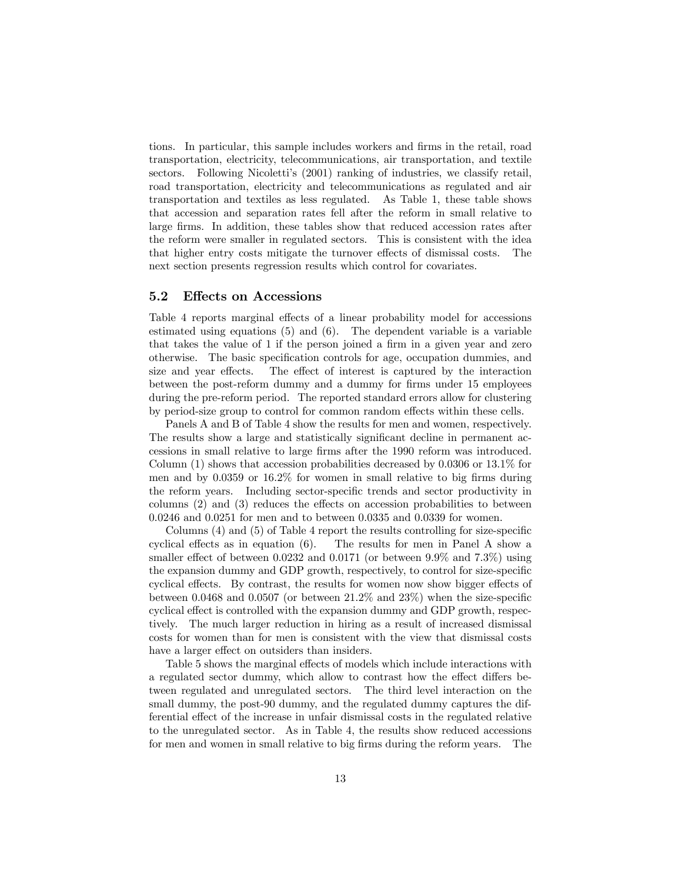tions. In particular, this sample includes workers and firms in the retail, road transportation, electricity, telecommunications, air transportation, and textile sectors. Following Nicoletti's (2001) ranking of industries, we classify retail, road transportation, electricity and telecommunications as regulated and air transportation and textiles as less regulated. As Table 1, these table shows that accession and separation rates fell after the reform in small relative to large firms. In addition, these tables show that reduced accession rates after the reform were smaller in regulated sectors. This is consistent with the idea that higher entry costs mitigate the turnover effects of dismissal costs. The next section presents regression results which control for covariates.

#### 5.2 Effects on Accessions

Table 4 reports marginal effects of a linear probability model for accessions estimated using equations  $(5)$  and  $(6)$ . The dependent variable is a variable that takes the value of 1 if the person joined a firm in a given year and zero otherwise. The basic specification controls for age, occupation dummies, and size and year effects. The effect of interest is captured by the interaction between the post-reform dummy and a dummy for firms under 15 employees during the pre-reform period. The reported standard errors allow for clustering by period-size group to control for common random effects within these cells.

Panels A and B of Table 4 show the results for men and women, respectively. The results show a large and statistically significant decline in permanent accessions in small relative to large firms after the 1990 reform was introduced. Column (1) shows that accession probabilities decreased by 0.0306 or 13.1% for men and by 0.0359 or 16.2% for women in small relative to big firms during the reform years. Including sector-specific trends and sector productivity in columns (2) and (3) reduces the effects on accession probabilities to between 0.0246 and 0.0251 for men and to between 0.0335 and 0.0339 for women.

Columns (4) and (5) of Table 4 report the results controlling for size-specific cyclical effects as in equation (6). The results for men in Panel A show a smaller effect of between 0.0232 and 0.0171 (or between 9.9% and 7.3%) using the expansion dummy and GDP growth, respectively, to control for size-specific cyclical effects. By contrast, the results for women now show bigger effects of between 0.0468 and 0.0507 (or between 21.2% and 23%) when the size-specific cyclical effect is controlled with the expansion dummy and GDP growth, respectively. The much larger reduction in hiring as a result of increased dismissal costs for women than for men is consistent with the view that dismissal costs have a larger effect on outsiders than insiders.

Table 5 shows the marginal effects of models which include interactions with a regulated sector dummy, which allow to contrast how the effect differs between regulated and unregulated sectors. The third level interaction on the small dummy, the post-90 dummy, and the regulated dummy captures the differential effect of the increase in unfair dismissal costs in the regulated relative to the unregulated sector. As in Table 4, the results show reduced accessions for men and women in small relative to big firms during the reform years. The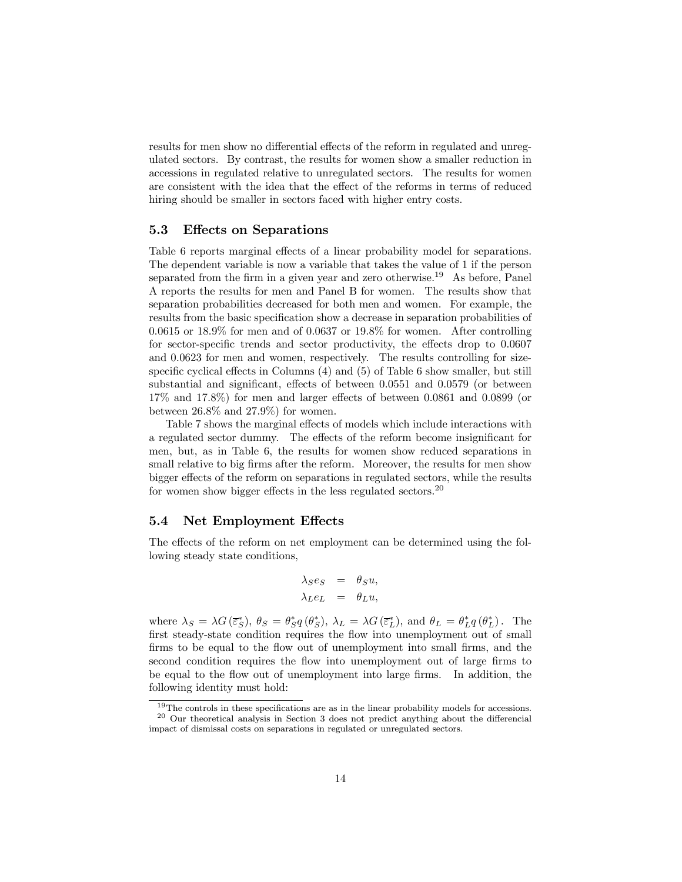results for men show no differential effects of the reform in regulated and unregulated sectors. By contrast, the results for women show a smaller reduction in accessions in regulated relative to unregulated sectors. The results for women are consistent with the idea that the effect of the reforms in terms of reduced hiring should be smaller in sectors faced with higher entry costs.

#### 5.3 Effects on Separations

Table 6 reports marginal effects of a linear probability model for separations. The dependent variable is now a variable that takes the value of 1 if the person separated from the firm in a given year and zero otherwise.<sup>19</sup> As before, Panel A reports the results for men and Panel B for women. The results show that separation probabilities decreased for both men and women. For example, the results from the basic specification show a decrease in separation probabilities of  $0.0615$  or  $18.9\%$  for men and of  $0.0637$  or  $19.8\%$  for women. After controlling for sector-specific trends and sector productivity, the effects drop to 0.0607 and 0.0623 for men and women, respectively. The results controlling for sizespecific cyclical effects in Columns (4) and (5) of Table 6 show smaller, but still substantial and significant, effects of between 0.0551 and 0.0579 (or between 17% and 17.8%) for men and larger effects of between 0.0861 and 0.0899 (or between  $26.8\%$  and  $27.9\%$ ) for women.

Table 7 shows the marginal effects of models which include interactions with a regulated sector dummy. The effects of the reform become insignificant for men, but, as in Table 6, the results for women show reduced separations in small relative to big firms after the reform. Moreover, the results for men show bigger effects of the reform on separations in regulated sectors, while the results for women show bigger effects in the less regulated sectors.<sup>20</sup>

#### 5.4 Net Employment Effects

The effects of the reform on net employment can be determined using the following steady state conditions,

$$
\begin{array}{rcl} \lambda_S e_S & = & \theta_S u, \\ \lambda_L e_L & = & \theta_L u, \end{array}
$$

where  $\lambda_S = \lambda G(\bar{\varepsilon}_S^*), \ \theta_S = \theta_S^* q(\theta_S^*), \ \lambda_L = \lambda G(\bar{\varepsilon}_L^*), \text{ and } \ \theta_L = \theta_L^* q(\theta_L^*).$  The first steady-state condition requires the flow into unemployment out of small firms to be equal to the flow out of unemployment into small firms, and the second condition requires the flow into unemployment out of large firms to be equal to the flow out of unemployment into large firms. In addition, the following identity must hold:

<sup>&</sup>lt;sup>19</sup>The controls in these specifications are as in the linear probability models for accessions.  $20$  Our theoretical analysis in Section 3 does not predict anything about the differencial impact of dismissal costs on separations in regulated or unregulated sectors.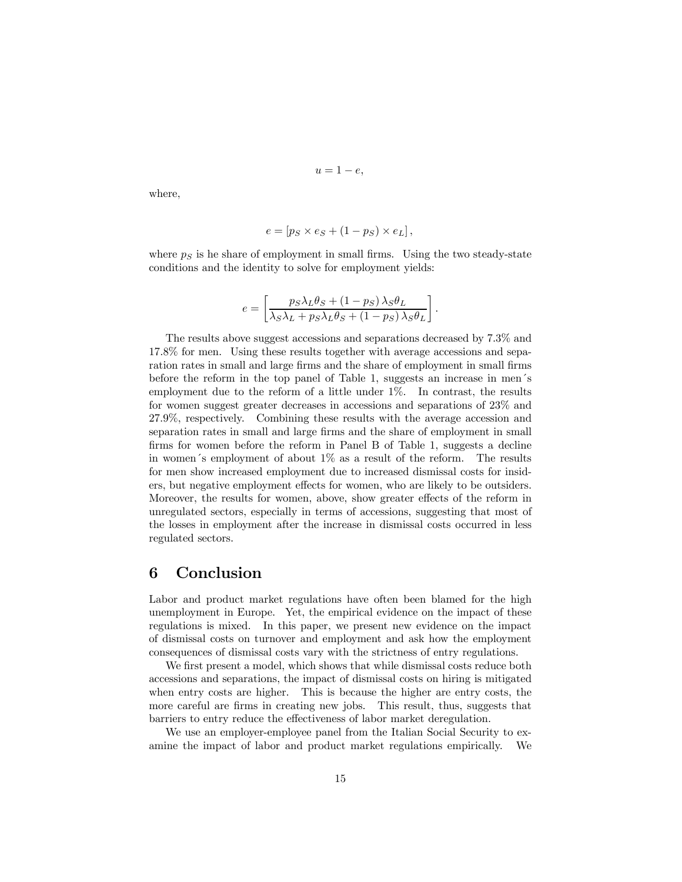$$
u=1-e,
$$

where,

$$
e = [p_S \times e_S + (1 - p_S) \times e_L],
$$

where  $p<sub>S</sub>$  is he share of employment in small firms. Using the two steady-state conditions and the identity to solve for employment yields:

$$
e = \left[ \frac{p_S \lambda_L \theta_S + (1 - p_S) \lambda_S \theta_L}{\lambda_S \lambda_L + p_S \lambda_L \theta_S + (1 - p_S) \lambda_S \theta_L} \right].
$$

The results above suggest accessions and separations decreased by 7.3% and 17.8% for men. Using these results together with average accessions and separation rates in small and large firms and the share of employment in small firms before the reform in the top panel of Table 1, suggests an increase in men´s employment due to the reform of a little under  $1\%$ . In contrast, the results for women suggest greater decreases in accessions and separations of 23% and 27.9%, respectively. Combining these results with the average accession and separation rates in small and large firms and the share of employment in small firms for women before the reform in Panel B of Table 1, suggests a decline in women's employment of about  $1\%$  as a result of the reform. The results for men show increased employment due to increased dismissal costs for insiders, but negative employment effects for women, who are likely to be outsiders. Moreover, the results for women, above, show greater effects of the reform in unregulated sectors, especially in terms of accessions, suggesting that most of the losses in employment after the increase in dismissal costs occurred in less regulated sectors.

#### 6 Conclusion

Labor and product market regulations have often been blamed for the high unemployment in Europe. Yet, the empirical evidence on the impact of these regulations is mixed. In this paper, we present new evidence on the impact of dismissal costs on turnover and employment and ask how the employment consequences of dismissal costs vary with the strictness of entry regulations.

We first present a model, which shows that while dismissal costs reduce both accessions and separations, the impact of dismissal costs on hiring is mitigated when entry costs are higher. This is because the higher are entry costs, the more careful are firms in creating new jobs. This result, thus, suggests that barriers to entry reduce the effectiveness of labor market deregulation.

We use an employer-employee panel from the Italian Social Security to examine the impact of labor and product market regulations empirically. We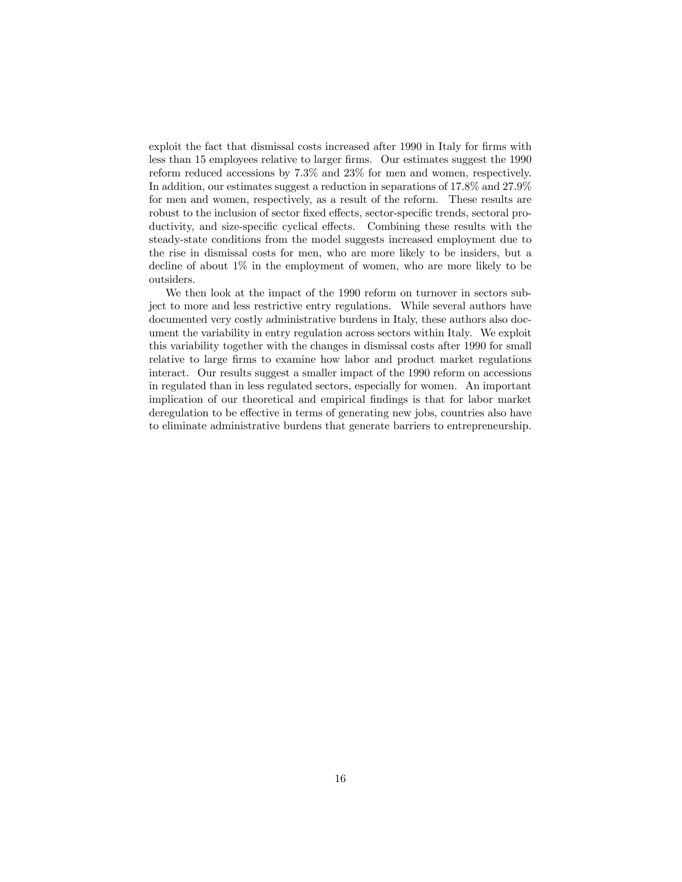exploit the fact that dismissal costs increased after 1990 in Italy for firms with less than 15 employees relative to larger firms. Our estimates suggest the 1990 reform reduced accessions by 7.3% and 23% for men and women, respectively. In addition, our estimates suggest a reduction in separations of 17.8% and 27.9% for men and women, respectively, as a result of the reform. These results are robust to the inclusion of sector fixed effects, sector-specific trends, sectoral productivity, and size-specific cyclical effects. Combining these results with the steady-state conditions from the model suggests increased employment due to the rise in dismissal costs for men, who are more likely to be insiders, but a decline of about 1% in the employment of women, who are more likely to be outsiders.

We then look at the impact of the 1990 reform on turnover in sectors subject to more and less restrictive entry regulations. While several authors have documented very costly administrative burdens in Italy, these authors also document the variability in entry regulation across sectors within Italy. We exploit this variability together with the changes in dismissal costs after 1990 for small relative to large firms to examine how labor and product market regulations interact. Our results suggest a smaller impact of the 1990 reform on accessions in regulated than in less regulated sectors, especially for women. An important implication of our theoretical and empirical findings is that for labor market deregulation to be effective in terms of generating new jobs, countries also have to eliminate administrative burdens that generate barriers to entrepreneurship.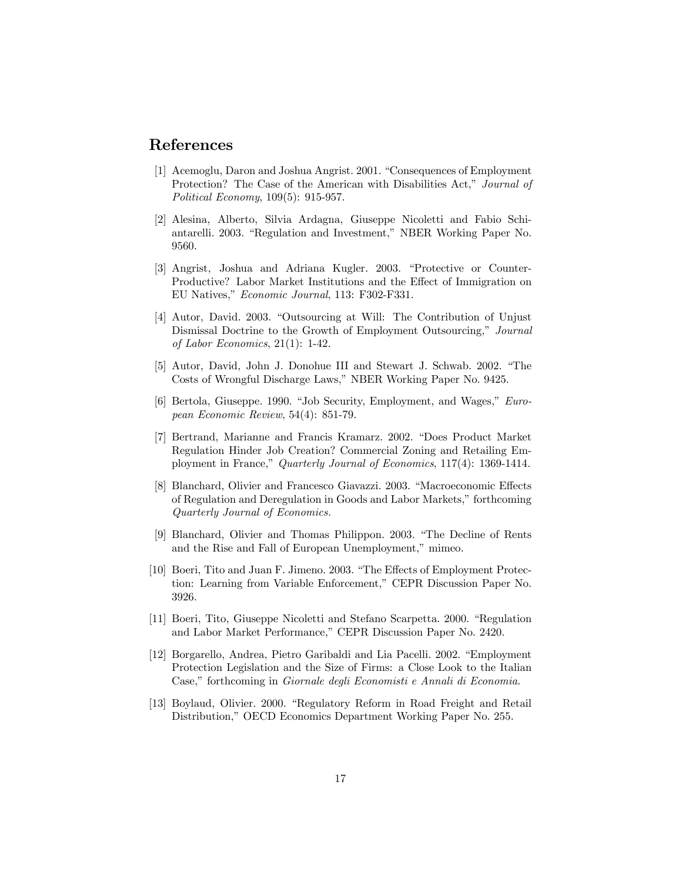#### References

- [1] Acemoglu, Daron and Joshua Angrist. 2001. "Consequences of Employment Protection? The Case of the American with Disabilities Act," Journal of Political Economy, 109(5): 915-957.
- [2] Alesina, Alberto, Silvia Ardagna, Giuseppe Nicoletti and Fabio Schiantarelli. 2003. "Regulation and Investment," NBER Working Paper No. 9560.
- [3] Angrist, Joshua and Adriana Kugler. 2003. "Protective or Counter-Productive? Labor Market Institutions and the Effect of Immigration on EU Natives," Economic Journal, 113: F302-F331.
- [4] Autor, David. 2003. "Outsourcing at Will: The Contribution of Unjust Dismissal Doctrine to the Growth of Employment Outsourcing," Journal of Labor Economics, 21(1): 1-42.
- [5] Autor, David, John J. Donohue III and Stewart J. Schwab. 2002. "The Costs of Wrongful Discharge Laws," NBER Working Paper No. 9425.
- [6] Bertola, Giuseppe. 1990. "Job Security, Employment, and Wages," European Economic Review, 54(4): 851-79.
- [7] Bertrand, Marianne and Francis Kramarz. 2002. "Does Product Market Regulation Hinder Job Creation? Commercial Zoning and Retailing Employment in France," Quarterly Journal of Economics, 117(4): 1369-1414.
- [8] Blanchard, Olivier and Francesco Giavazzi. 2003. "Macroeconomic Effects of Regulation and Deregulation in Goods and Labor Markets," forthcoming Quarterly Journal of Economics.
- [9] Blanchard, Olivier and Thomas Philippon. 2003. "The Decline of Rents and the Rise and Fall of European Unemployment," mimeo.
- [10] Boeri, Tito and Juan F. Jimeno. 2003. "The Effects of Employment Protection: Learning from Variable Enforcement," CEPR Discussion Paper No. 3926.
- [11] Boeri, Tito, Giuseppe Nicoletti and Stefano Scarpetta. 2000. "Regulation and Labor Market Performance," CEPR Discussion Paper No. 2420.
- [12] Borgarello, Andrea, Pietro Garibaldi and Lia Pacelli. 2002. "Employment Protection Legislation and the Size of Firms: a Close Look to the Italian Case," forthcoming in Giornale degli Economisti e Annali di Economia.
- [13] Boylaud, Olivier. 2000. "Regulatory Reform in Road Freight and Retail Distribution," OECD Economics Department Working Paper No. 255.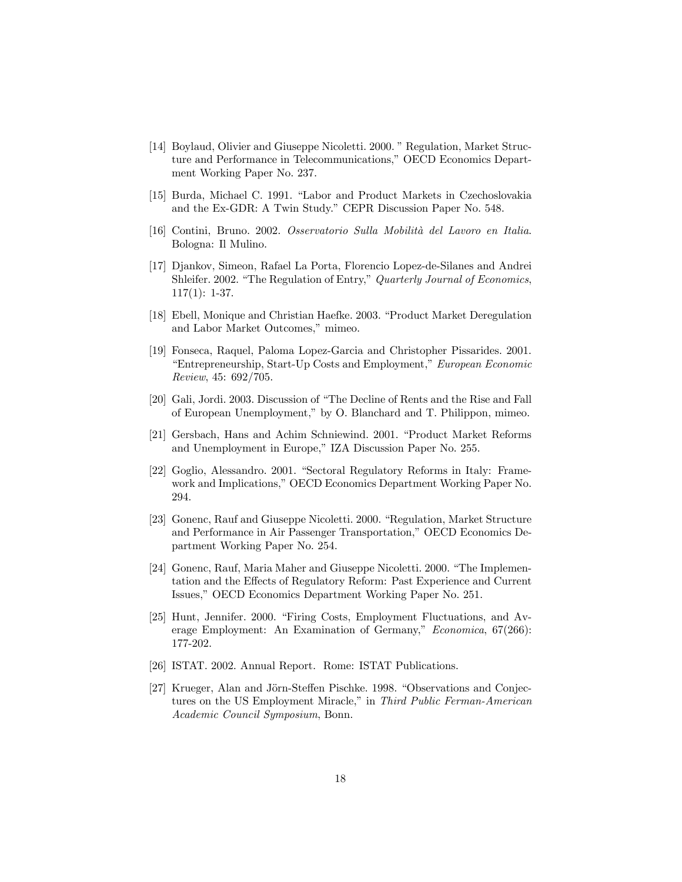- [14] Boylaud, Olivier and Giuseppe Nicoletti. 2000. " Regulation, Market Structure and Performance in Telecommunications," OECD Economics Department Working Paper No. 237.
- [15] Burda, Michael C. 1991. "Labor and Product Markets in Czechoslovakia and the Ex-GDR: A Twin Study." CEPR Discussion Paper No. 548.
- [16] Contini, Bruno. 2002. Osservatorio Sulla Mobilità del Lavoro en Italia. Bologna: Il Mulino.
- [17] Djankov, Simeon, Rafael La Porta, Florencio Lopez-de-Silanes and Andrei Shleifer. 2002. "The Regulation of Entry," Quarterly Journal of Economics, 117(1): 1-37.
- [18] Ebell, Monique and Christian Haefke. 2003. "Product Market Deregulation and Labor Market Outcomes," mimeo.
- [19] Fonseca, Raquel, Paloma Lopez-Garcia and Christopher Pissarides. 2001. "Entrepreneurship, Start-Up Costs and Employment," European Economic Review, 45: 692/705.
- [20] Gali, Jordi. 2003. Discussion of "The Decline of Rents and the Rise and Fall of European Unemployment," by O. Blanchard and T. Philippon, mimeo.
- [21] Gersbach, Hans and Achim Schniewind. 2001. "Product Market Reforms and Unemployment in Europe," IZA Discussion Paper No. 255.
- [22] Goglio, Alessandro. 2001. "Sectoral Regulatory Reforms in Italy: Framework and Implications," OECD Economics Department Working Paper No. 294.
- [23] Gonenc, Rauf and Giuseppe Nicoletti. 2000. "Regulation, Market Structure and Performance in Air Passenger Transportation," OECD Economics Department Working Paper No. 254.
- [24] Gonenc, Rauf, Maria Maher and Giuseppe Nicoletti. 2000. "The Implementation and the Effects of Regulatory Reform: Past Experience and Current Issues," OECD Economics Department Working Paper No. 251.
- [25] Hunt, Jennifer. 2000. "Firing Costs, Employment Fluctuations, and Average Employment: An Examination of Germany," Economica, 67(266): 177-202.
- [26] ISTAT. 2002. Annual Report. Rome: ISTAT Publications.
- [27] Krueger, Alan and Jörn-Steffen Pischke. 1998. "Observations and Conjectures on the US Employment Miracle," in Third Public Ferman-American Academic Council Symposium, Bonn.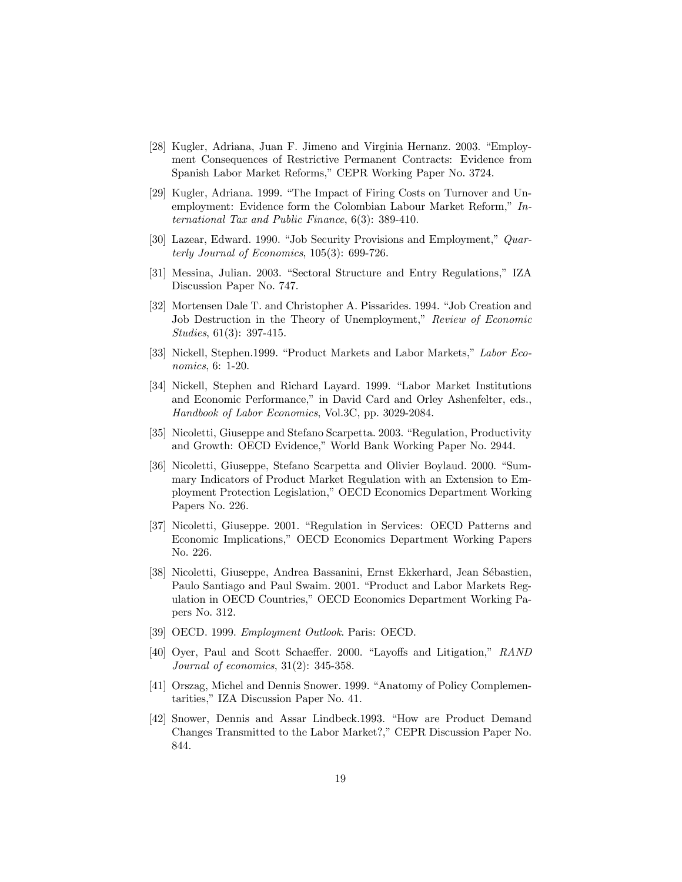- [28] Kugler, Adriana, Juan F. Jimeno and Virginia Hernanz. 2003. "Employment Consequences of Restrictive Permanent Contracts: Evidence from Spanish Labor Market Reforms," CEPR Working Paper No. 3724.
- [29] Kugler, Adriana. 1999. "The Impact of Firing Costs on Turnover and Unemployment: Evidence form the Colombian Labour Market Reform," International Tax and Public Finance, 6(3): 389-410.
- [30] Lazear, Edward. 1990. "Job Security Provisions and Employment," Quarterly Journal of Economics, 105(3): 699-726.
- [31] Messina, Julian. 2003. "Sectoral Structure and Entry Regulations," IZA Discussion Paper No. 747.
- [32] Mortensen Dale T. and Christopher A. Pissarides. 1994. "Job Creation and Job Destruction in the Theory of Unemployment," Review of Economic Studies, 61(3): 397-415.
- [33] Nickell, Stephen.1999. "Product Markets and Labor Markets," Labor Economics, 6: 1-20.
- [34] Nickell, Stephen and Richard Layard. 1999. "Labor Market Institutions and Economic Performance," in David Card and Orley Ashenfelter, eds., Handbook of Labor Economics, Vol.3C, pp. 3029-2084.
- [35] Nicoletti, Giuseppe and Stefano Scarpetta. 2003. "Regulation, Productivity and Growth: OECD Evidence," World Bank Working Paper No. 2944.
- [36] Nicoletti, Giuseppe, Stefano Scarpetta and Olivier Boylaud. 2000. "Summary Indicators of Product Market Regulation with an Extension to Employment Protection Legislation," OECD Economics Department Working Papers No. 226.
- [37] Nicoletti, Giuseppe. 2001. "Regulation in Services: OECD Patterns and Economic Implications," OECD Economics Department Working Papers No. 226.
- [38] Nicoletti, Giuseppe, Andrea Bassanini, Ernst Ekkerhard, Jean Sébastien, Paulo Santiago and Paul Swaim. 2001. "Product and Labor Markets Regulation in OECD Countries," OECD Economics Department Working Papers No. 312.
- [39] OECD. 1999. Employment Outlook. Paris: OECD.
- [40] Oyer, Paul and Scott Schaeffer. 2000. "Layoffs and Litigation," RAND Journal of economics, 31(2): 345-358.
- [41] Orszag, Michel and Dennis Snower. 1999. "Anatomy of Policy Complementarities," IZA Discussion Paper No. 41.
- [42] Snower, Dennis and Assar Lindbeck.1993. "How are Product Demand Changes Transmitted to the Labor Market?," CEPR Discussion Paper No. 844.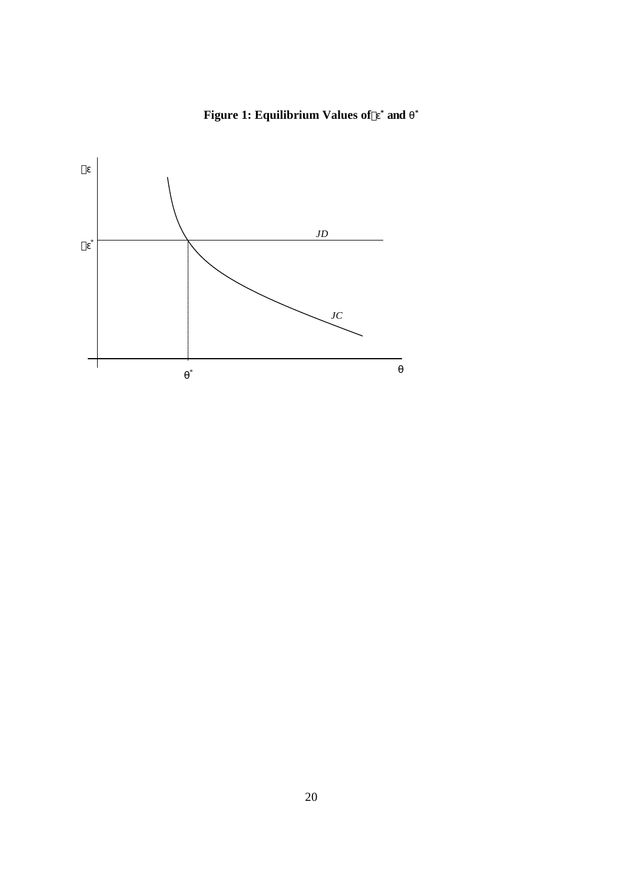#### **Figure 1: Equilibrium Values of`e \* and q \***

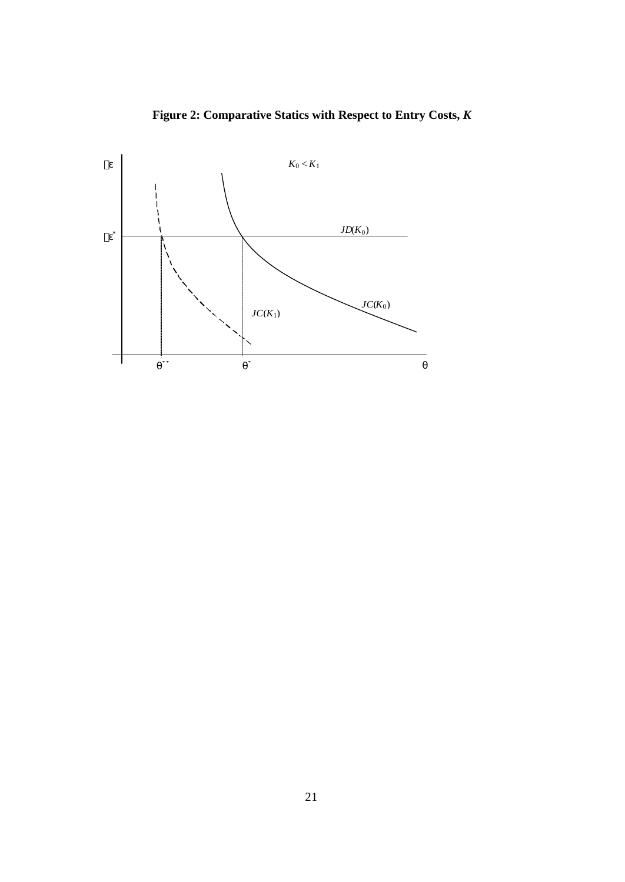

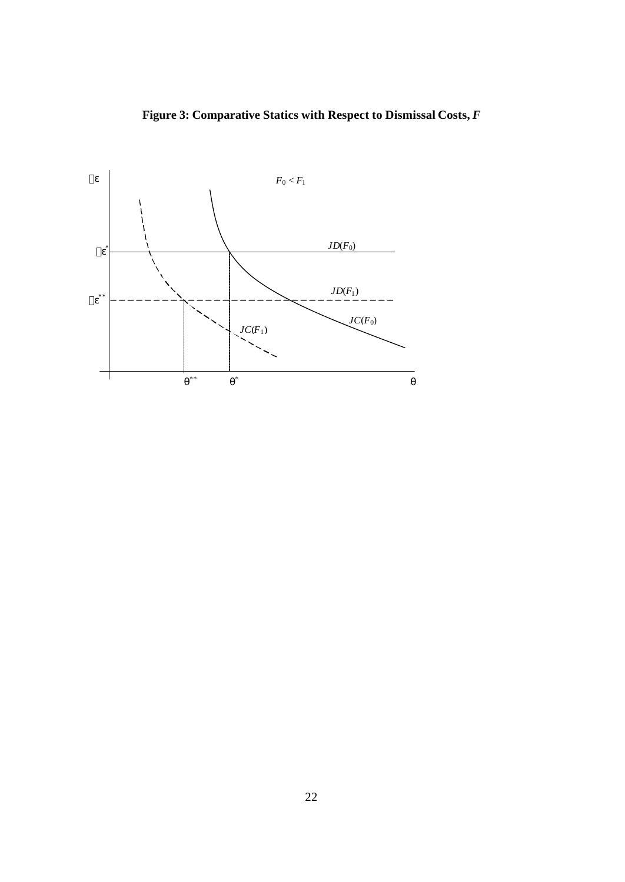**Figure 3: Comparative Statics with Respect to Dismissal Costs,** *F*

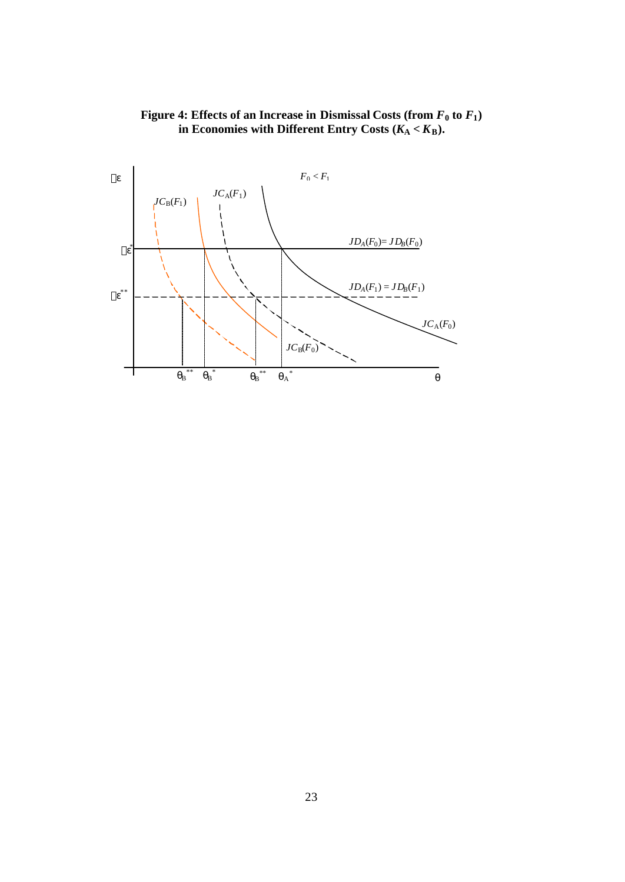

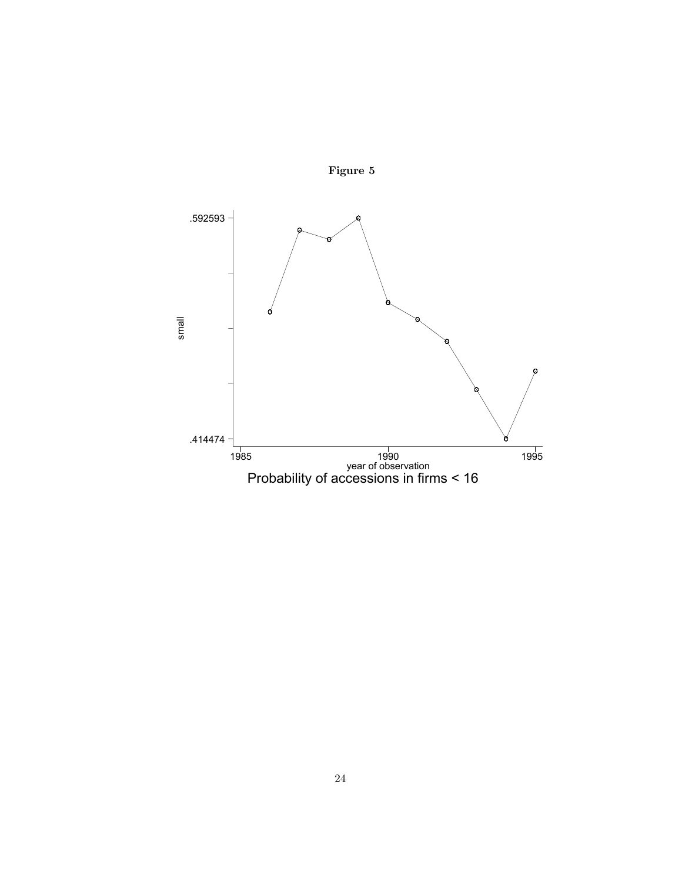

Figure 5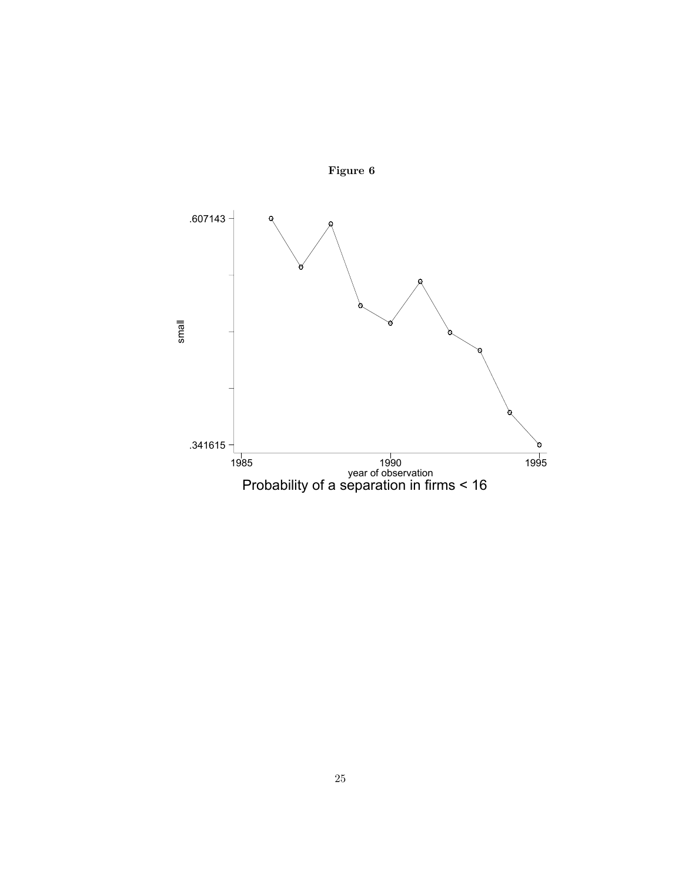

Figure 6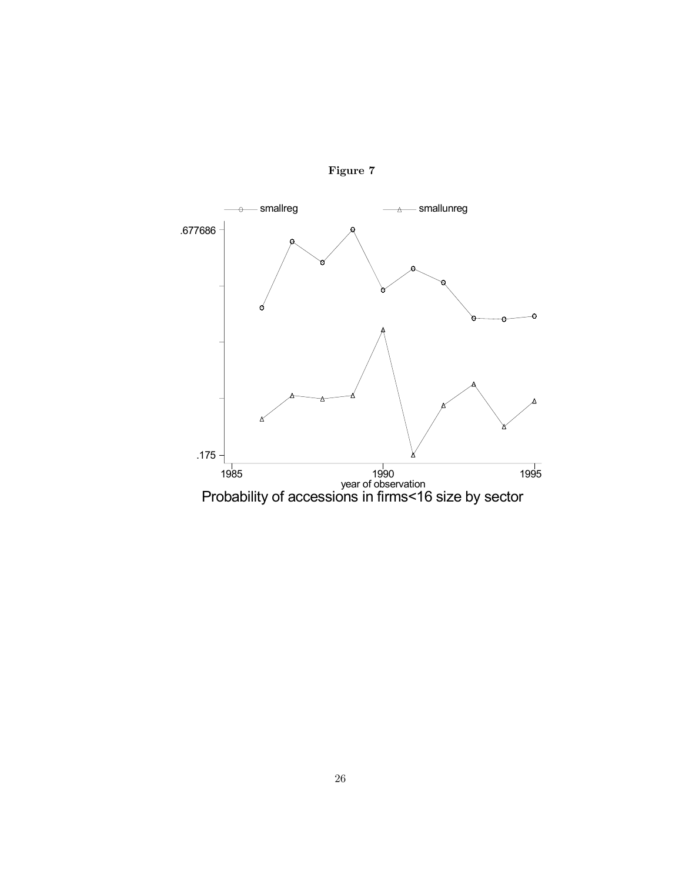

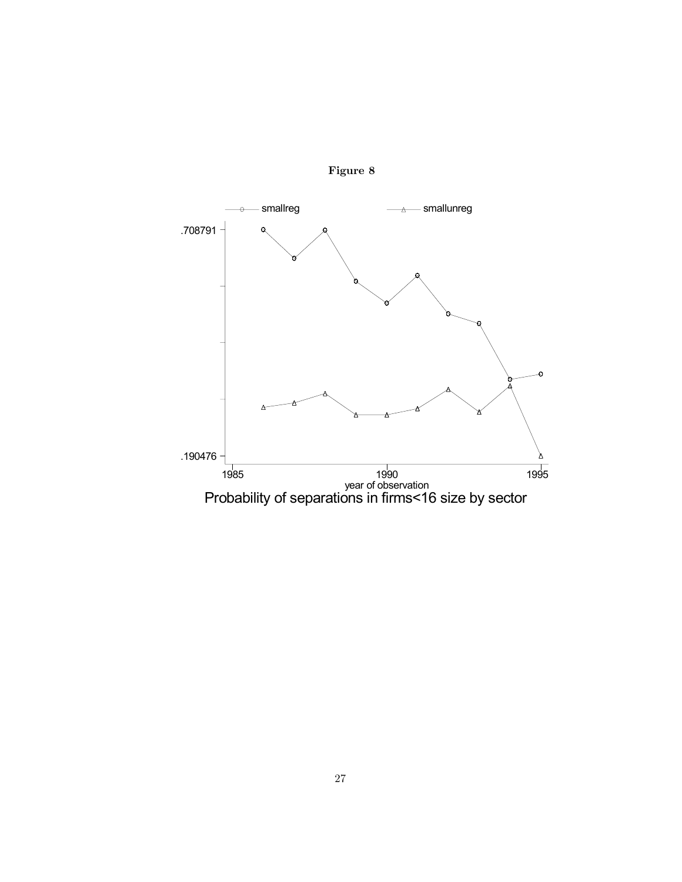

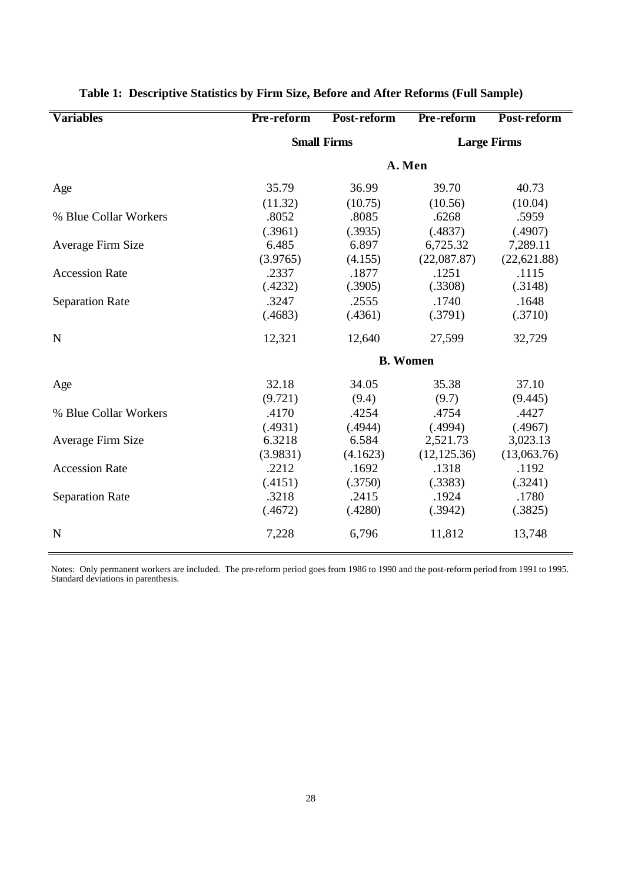| <b>Variables</b>       | Pre-reform         | Post-reform | Pre-reform         | Post-reform  |  |  |  |  |
|------------------------|--------------------|-------------|--------------------|--------------|--|--|--|--|
|                        | <b>Small Firms</b> |             | <b>Large Firms</b> |              |  |  |  |  |
|                        |                    | A. Men      |                    |              |  |  |  |  |
| Age                    | 35.79              | 36.99       | 39.70              | 40.73        |  |  |  |  |
|                        | (11.32)            | (10.75)     | (10.56)            | (10.04)      |  |  |  |  |
| % Blue Collar Workers  | .8052              | .8085       | .6268              | .5959        |  |  |  |  |
|                        | (.3961)            | (.3935)     | (.4837)            | (.4907)      |  |  |  |  |
| Average Firm Size      | 6.485              | 6.897       | 6,725.32           | 7,289.11     |  |  |  |  |
|                        | (3.9765)           | (4.155)     | (22,087.87)        | (22, 621.88) |  |  |  |  |
| <b>Accession Rate</b>  | .2337              | .1877       | .1251              | .1115        |  |  |  |  |
|                        | (.4232)            | (.3905)     | (.3308)            | (.3148)      |  |  |  |  |
| <b>Separation Rate</b> | .3247              | .2555       | .1740              | .1648        |  |  |  |  |
|                        | (.4683)            | (.4361)     | (.3791)            | (.3710)      |  |  |  |  |
| N                      | 12,321             | 12,640      | 27,599             | 32,729       |  |  |  |  |
|                        | <b>B.</b> Women    |             |                    |              |  |  |  |  |
| Age                    | 32.18              | 34.05       | 35.38              | 37.10        |  |  |  |  |
|                        | (9.721)            | (9.4)       | (9.7)              | (9.445)      |  |  |  |  |
| % Blue Collar Workers  | .4170              | .4254       | .4754              | .4427        |  |  |  |  |
|                        | (.4931)            | (.4944)     | (.4994)            | (.4967)      |  |  |  |  |
| Average Firm Size      | 6.3218             | 6.584       | 2,521.73           | 3,023.13     |  |  |  |  |
|                        | (3.9831)           | (4.1623)    | (12, 125.36)       | (13,063.76)  |  |  |  |  |
| <b>Accession Rate</b>  | .2212              | .1692       | .1318              | .1192        |  |  |  |  |
|                        | (.4151)            | (.3750)     | (.3383)            | (.3241)      |  |  |  |  |
| <b>Separation Rate</b> | .3218              | .2415       | .1924              | .1780        |  |  |  |  |
|                        | (.4672)            | (.4280)     | (.3942)            | (.3825)      |  |  |  |  |
| N                      | 7,228              | 6,796       | 11,812             | 13,748       |  |  |  |  |

| Table 1: Descriptive Statistics by Firm Size, Before and After Reforms (Full Sample) |  |  |  |  |  |
|--------------------------------------------------------------------------------------|--|--|--|--|--|
|                                                                                      |  |  |  |  |  |

Notes: Only permanent workers are included. The pre-reform period goes from 1986 to 1990 and the post-reform period from 1991 to 1995. Standard deviations in parenthesis.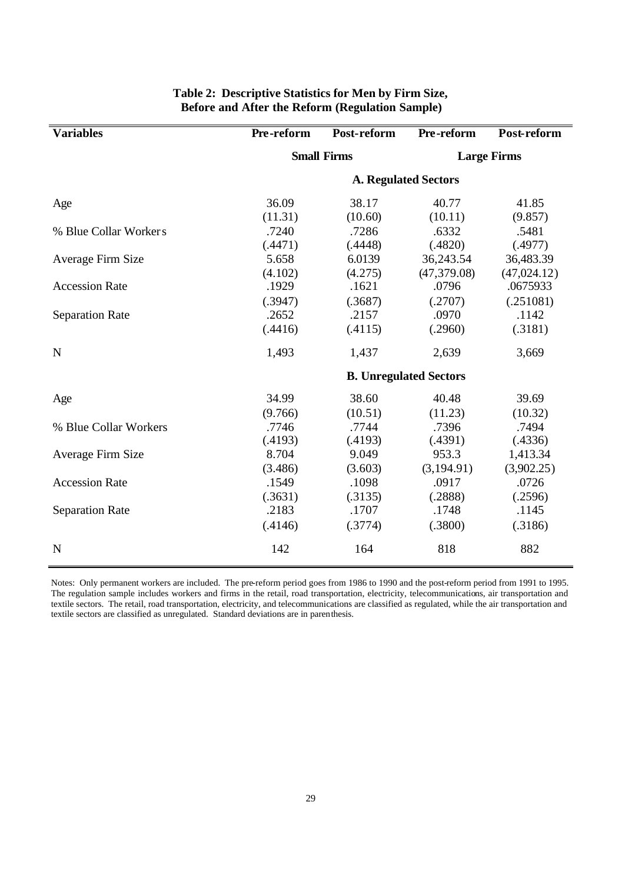| <b>Variables</b>       | Pre-reform | Post-reform                   | Pre-reform   | Post-reform        |
|------------------------|------------|-------------------------------|--------------|--------------------|
|                        |            | <b>Small Firms</b>            |              | <b>Large Firms</b> |
|                        |            | <b>A. Regulated Sectors</b>   |              |                    |
| Age                    | 36.09      | 38.17                         | 40.77        | 41.85              |
|                        | (11.31)    | (10.60)                       | (10.11)      | (9.857)            |
| % Blue Collar Workers  | .7240      | .7286                         | .6332        | .5481              |
|                        | (.4471)    | (.4448)                       | (.4820)      | (.4977)            |
| Average Firm Size      | 5.658      | 6.0139                        | 36,243.54    | 36,483.39          |
|                        | (4.102)    | (4.275)                       | (47, 379.08) | (47, 024.12)       |
| <b>Accession Rate</b>  | .1929      | .1621                         | .0796        | .0675933           |
|                        | (.3947)    | (.3687)                       | (.2707)      | (.251081)          |
| <b>Separation Rate</b> | .2652      | .2157                         | .0970        | .1142              |
|                        | (.4416)    | (.4115)                       | (.2960)      | (.3181)            |
| N                      | 1,493      | 1,437                         | 2,639        | 3,669              |
|                        |            | <b>B. Unregulated Sectors</b> |              |                    |
| Age                    | 34.99      | 38.60                         | 40.48        | 39.69              |
|                        | (9.766)    | (10.51)                       | (11.23)      | (10.32)            |
| % Blue Collar Workers  | .7746      | .7744                         | .7396        | .7494              |
|                        | (.4193)    | (.4193)                       | (.4391)      | (.4336)            |
| Average Firm Size      | 8.704      | 9.049                         | 953.3        | 1,413.34           |
|                        | (3.486)    | (3.603)                       | (3,194.91)   | (3,902.25)         |
| <b>Accession Rate</b>  | .1549      | .1098                         | .0917        | .0726              |
|                        | (.3631)    | (.3135)                       | (.2888)      | (.2596)            |
| <b>Separation Rate</b> | .2183      | .1707                         | .1748        | .1145              |
|                        | (.4146)    | (.3774)                       | (.3800)      | (.3186)            |
| N                      | 142        | 164                           | 818          | 882                |

### **Table 2: Descriptive Statistics for Men by Firm Size, Before and After the Reform (Regulation Sample)**

Notes: Only permanent workers are included. The pre-reform period goes from 1986 to 1990 and the post-reform period from 1991 to 1995. The regulation sample includes workers and firms in the retail, road transportation, electricity, telecommunications, air transportation and textile sectors. The retail, road transportation, electricity, and telecommunications are classified as regulated, while the air transportation and textile sectors are classified as unregulated. Standard deviations are in parenthesis.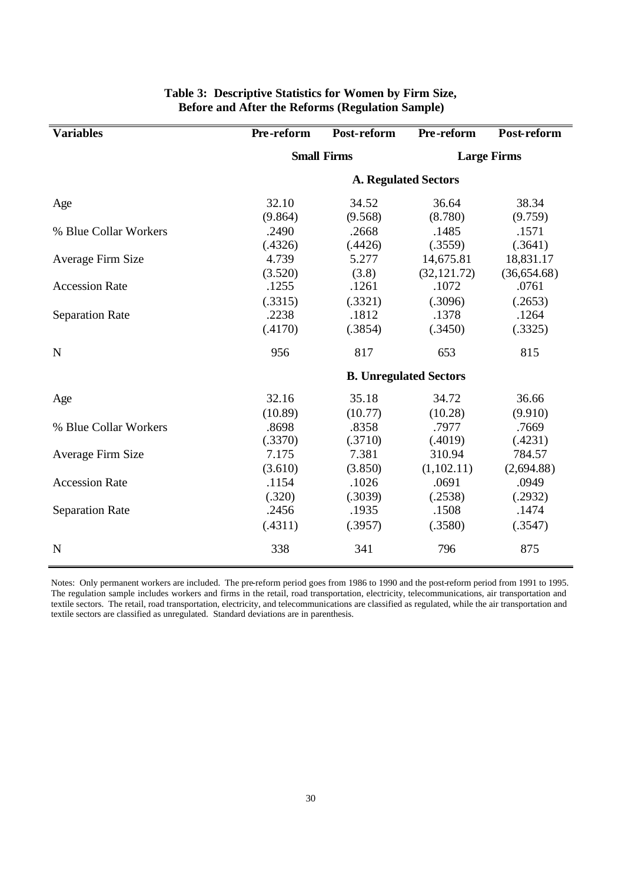| <b>Variables</b>       | Pre-reform                  | Post-reform                   | Pre-reform   | Post-reform        |  |  |
|------------------------|-----------------------------|-------------------------------|--------------|--------------------|--|--|
|                        |                             | <b>Small Firms</b>            |              | <b>Large Firms</b> |  |  |
|                        | <b>A. Regulated Sectors</b> |                               |              |                    |  |  |
| Age                    | 32.10                       | 34.52                         | 36.64        | 38.34              |  |  |
|                        | (9.864)                     | (9.568)                       | (8.780)      | (9.759)            |  |  |
| % Blue Collar Workers  | .2490                       | .2668                         | .1485        | .1571              |  |  |
|                        | (.4326)                     | (.4426)                       | (.3559)      | (.3641)            |  |  |
| Average Firm Size      | 4.739                       | 5.277                         | 14,675.81    | 18,831.17          |  |  |
|                        | (3.520)                     | (3.8)                         | (32, 121.72) | (36,654.68)        |  |  |
| <b>Accession Rate</b>  | .1255                       | .1261                         | .1072        | .0761              |  |  |
|                        | (.3315)                     | (.3321)                       | (.3096)      | (.2653)            |  |  |
| <b>Separation Rate</b> | .2238                       | .1812                         | .1378        | .1264              |  |  |
|                        | (.4170)                     | (.3854)                       | (.3450)      | (.3325)            |  |  |
| N                      | 956                         | 817                           | 653          | 815                |  |  |
|                        |                             | <b>B. Unregulated Sectors</b> |              |                    |  |  |
| Age                    | 32.16                       | 35.18                         | 34.72        | 36.66              |  |  |
|                        | (10.89)                     | (10.77)                       | (10.28)      | (9.910)            |  |  |
| % Blue Collar Workers  | .8698                       | .8358                         | .7977        | .7669              |  |  |
|                        | (.3370)                     | (.3710)                       | (.4019)      | (.4231)            |  |  |
| Average Firm Size      | 7.175                       | 7.381                         | 310.94       | 784.57             |  |  |
|                        | (3.610)                     | (3.850)                       | (1,102.11)   | (2,694.88)         |  |  |
| <b>Accession Rate</b>  | .1154                       | .1026                         | .0691        | .0949              |  |  |
|                        | (.320)                      | (.3039)                       | (.2538)      | (.2932)            |  |  |
| <b>Separation Rate</b> | .2456                       | .1935                         | .1508        | .1474              |  |  |
|                        | (.4311)                     | (.3957)                       | (.3580)      | (.3547)            |  |  |
| N                      | 338                         | 341                           | 796          | 875                |  |  |

### **Table 3: Descriptive Statistics for Women by Firm Size, Before and After the Reforms (Regulation Sample)**

Notes: Only permanent workers are included. The pre-reform period goes from 1986 to 1990 and the post-reform period from 1991 to 1995. The regulation sample includes workers and firms in the retail, road transportation, electricity, telecommunications, air transportation and textile sectors. The retail, road transportation, electricity, and telecommunications are classified as regulated, while the air transportation and textile sectors are classified as unregulated. Standard deviations are in parenthesis.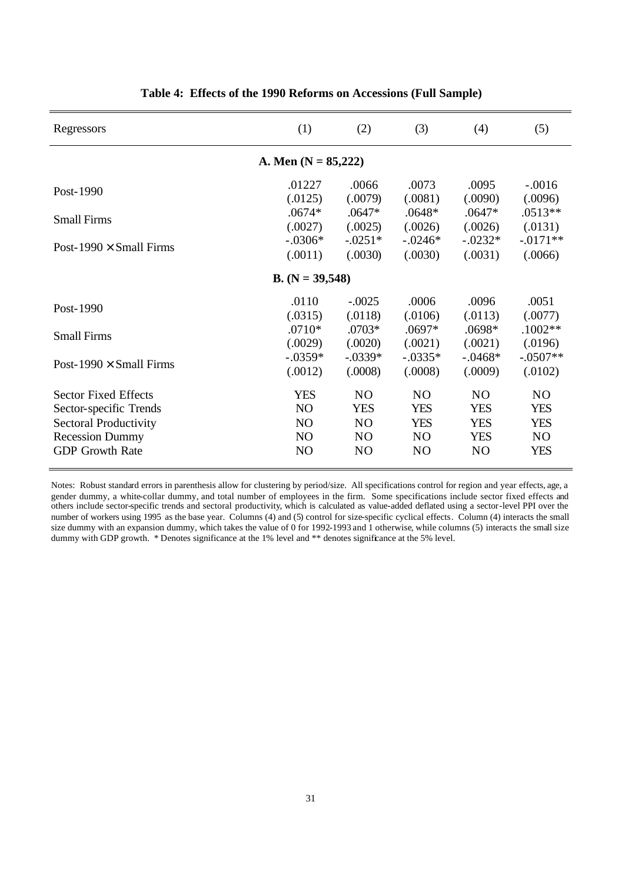| Regressors                     | (1)               | (2)            | (3)            | (4)            | (5)            |  |  |  |
|--------------------------------|-------------------|----------------|----------------|----------------|----------------|--|--|--|
| A. Men $(N = 85,222)$          |                   |                |                |                |                |  |  |  |
| Post-1990                      | .01227            | .0066          | .0073          | .0095          | $-.0016$       |  |  |  |
|                                | (.0125)           | (.0079)        | (.0081)        | (.0090)        | (.0096)        |  |  |  |
| <b>Small Firms</b>             | $.0674*$          | $.0647*$       | $.0648*$       | $.0647*$       | $.0513**$      |  |  |  |
|                                | (.0027)           | (.0025)        | (.0026)        | (.0026)        | (.0131)        |  |  |  |
| Post-1990 $\times$ Small Firms | $-.0306*$         | $-0.0251*$     | $-.0246*$      | $-.0232*$      | $-.0171**$     |  |  |  |
|                                | (.0011)           | (.0030)        | (.0030)        | (.0031)        | (.0066)        |  |  |  |
|                                | $B. (N = 39,548)$ |                |                |                |                |  |  |  |
| Post-1990                      | .0110             | $-.0025$       | .0006          | .0096          | .0051          |  |  |  |
|                                | (.0315)           | (.0118)        | (.0106)        | (.0113)        | (.0077)        |  |  |  |
| <b>Small Firms</b>             | $.0710*$          | .0703*         | $.0697*$       | .0698*         | $.1002**$      |  |  |  |
|                                | (.0029)           | (.0020)        | (.0021)        | (.0021)        | (.0196)        |  |  |  |
| Post-1990 $\times$ Small Firms | $-.0359*$         | $-.0339*$      | $-.0335*$      | $-.0468*$      | $-.0507**$     |  |  |  |
|                                | (.0012)           | (.0008)        | (.0008)        | (.0009)        | (.0102)        |  |  |  |
| <b>Sector Fixed Effects</b>    | <b>YES</b>        | N <sub>O</sub> | N <sub>O</sub> | N <sub>O</sub> | N <sub>O</sub> |  |  |  |
| Sector-specific Trends         | N <sub>O</sub>    | <b>YES</b>     | <b>YES</b>     | <b>YES</b>     | <b>YES</b>     |  |  |  |
| Sectoral Productivity          | NO                | N <sub>O</sub> | <b>YES</b>     | <b>YES</b>     | <b>YES</b>     |  |  |  |
| <b>Recession Dummy</b>         | N <sub>O</sub>    | N <sub>O</sub> | NO.            | YES            | N <sub>O</sub> |  |  |  |
| <b>GDP</b> Growth Rate         | N <sub>O</sub>    | N <sub>O</sub> | N <sub>O</sub> | N <sub>O</sub> | <b>YES</b>     |  |  |  |

|  |  |  |  |  | Table 4: Effects of the 1990 Reforms on Accessions (Full Sample) |  |  |
|--|--|--|--|--|------------------------------------------------------------------|--|--|
|--|--|--|--|--|------------------------------------------------------------------|--|--|

Notes: Robust standard errors in parenthesis allow for clustering by period/size. All specifications control for region and year effects, age, a gender dummy, a white-collar dummy, and total number of employees in the firm. Some specifications include sector fixed effects and others include sector-specific trends and sectoral productivity, which is calculated as value-added deflated using a sector-level PPI over the number of workers using 1995 as the base year. Columns (4) and (5) control for size-specific cyclical effects. Column (4) interacts the small size dummy with an expansion dummy, which takes the value of 0 for 1992-1993 and 1 otherwise, while columns (5) interacts the small size dummy with GDP growth. \* Denotes significance at the 1% level and \*\* denotes significance at the 5% level.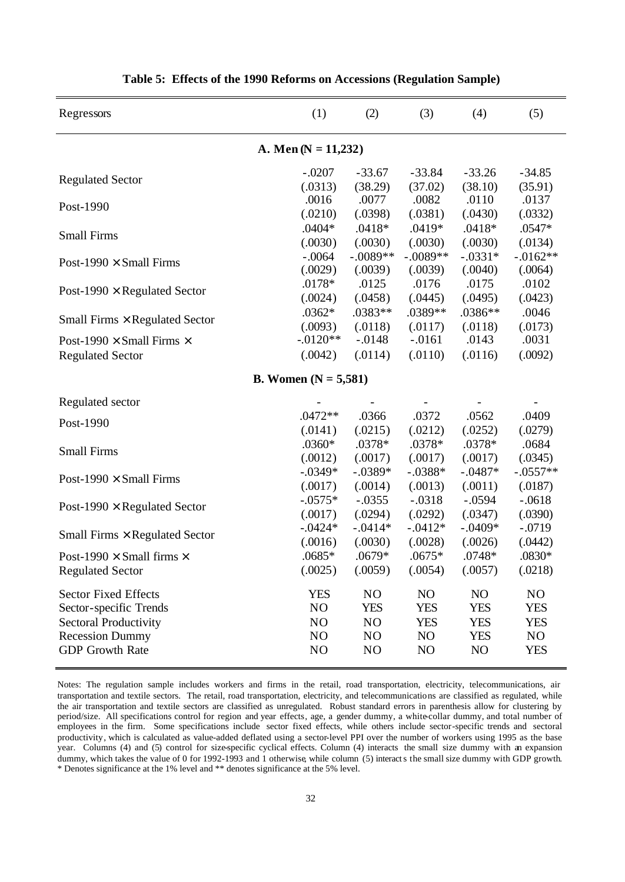| Regressors                                                         | (1)                           | (2)            | (3)        | (4)        | (5)            |  |  |
|--------------------------------------------------------------------|-------------------------------|----------------|------------|------------|----------------|--|--|
| A. Men ( $N = 11,232$ )                                            |                               |                |            |            |                |  |  |
| <b>Regulated Sector</b>                                            | $-.0207$                      | $-33.67$       | $-33.84$   | $-33.26$   | $-34.85$       |  |  |
|                                                                    | (.0313)                       | (38.29)        | (37.02)    | (38.10)    | (35.91)        |  |  |
| Post-1990                                                          | .0016                         | .0077          | .0082      | .0110      | .0137          |  |  |
|                                                                    | (.0210)                       | (.0398)        | (.0381)    | (.0430)    | (.0332)        |  |  |
| <b>Small Firms</b>                                                 | $.0404*$                      | $.0418*$       | .0419*     | $.0418*$   | .0547*         |  |  |
|                                                                    | (.0030)                       | (.0030)        | (.0030)    | (.0030)    | (.0134)        |  |  |
| Post-1990 $\times$ Small Firms                                     | $-.0064$                      | $-.0089**$     | $-.0089**$ | $-.0331*$  | $-.0162**$     |  |  |
|                                                                    | (.0029)                       | (.0039)        | (.0039)    | (.0040)    | (.0064)        |  |  |
|                                                                    | $.0178*$                      | .0125          | .0176      | .0175      | .0102          |  |  |
| Post-1990 $\times$ Regulated Sector                                | (.0024)                       | (.0458)        | (.0445)    | (.0495)    | (.0423)        |  |  |
|                                                                    | $.0362*$                      | .0383**        | .0389**    | .0386**    | .0046          |  |  |
| Small Firms $\times$ Regulated Sector                              | (.0093)                       | (.0118)        | (.0117)    | (.0118)    | (.0173)        |  |  |
| Post-1990 $\times$ Small Firms $\times$                            | $-0.0120**$                   | $-.0148$       | $-0.0161$  | .0143      | .0031          |  |  |
| <b>Regulated Sector</b>                                            | (.0042)                       | (.0114)        | (.0110)    | (.0116)    | (.0092)        |  |  |
|                                                                    | <b>B.</b> Women $(N = 5,581)$ |                |            |            |                |  |  |
| Regulated sector                                                   |                               |                |            |            |                |  |  |
| Post-1990                                                          | $.0472**$                     | .0366          | .0372      | .0562      | .0409          |  |  |
|                                                                    | (.0141)                       | (.0215)        | (.0212)    | (.0252)    | (.0279)        |  |  |
| <b>Small Firms</b>                                                 | .0360*                        | .0378*         | .0378*     | .0378*     | .0684          |  |  |
|                                                                    | (.0012)                       | (.0017)        | (.0017)    | (.0017)    | (.0345)        |  |  |
| Post-1990 $\times$ Small Firms                                     | $-.0349*$                     | $-.0389*$      | $-.0388*$  | $-.0487*$  | $-.0557**$     |  |  |
|                                                                    | (.0017)                       | (.0014)        | (.0013)    | (.0011)    | (.0187)        |  |  |
| Post-1990 $\times$ Regulated Sector                                | $-.0575*$                     | $-.0355$       | $-.0318$   | $-.0594$   | $-.0618$       |  |  |
|                                                                    | (.0017)                       | (.0294)        | (.0292)    | (.0347)    | (.0390)        |  |  |
|                                                                    | $-0.0424*$                    | $-.0414*$      | $-.0412*$  | $-.0409*$  | $-.0719$       |  |  |
| Small Firms $\times$ Regulated Sector                              | (.0016)                       | (.0030)        | (.0028)    | (.0026)    | (.0442)        |  |  |
|                                                                    | .0685*                        | .0679*         | $.0675*$   | .0748*     | .0830*         |  |  |
| Post-1990 $\times$ Small firms $\times$<br><b>Regulated Sector</b> | (.0025)                       | (.0059)        | (.0054)    | (.0057)    | (.0218)        |  |  |
| <b>Sector Fixed Effects</b>                                        | <b>YES</b>                    | N <sub>O</sub> | NO         | NO         | N <sub>O</sub> |  |  |
| Sector-specific Trends                                             | N <sub>O</sub>                | <b>YES</b>     | <b>YES</b> | <b>YES</b> | <b>YES</b>     |  |  |
| <b>Sectoral Productivity</b>                                       | N <sub>O</sub>                | N <sub>O</sub> | <b>YES</b> | <b>YES</b> | <b>YES</b>     |  |  |
| <b>Recession Dummy</b>                                             | N <sub>O</sub>                | NO             | NO         | <b>YES</b> | NO.            |  |  |
| <b>GDP</b> Growth Rate                                             | N <sub>O</sub>                | N <sub>O</sub> | NO         | NO         | <b>YES</b>     |  |  |

**Table 5: Effects of the 1990 Reforms on Accessions (Regulation Sample)**

Notes: The regulation sample includes workers and firms in the retail, road transportation, electricity, telecommunications, air transportation and textile sectors. The retail, road transportation, electricity, and telecommunications are classified as regulated, while the air transportation and textile sectors are classified as unregulated. Robust standard errors in parenthesis allow for clustering by period/size. All specifications control for region and year effects, age, a gender dummy, a white-collar dummy, and total number of employees in the firm. Some specifications include sector fixed effects, while others include sector-specific trends and sectoral productivity, which is calculated as value-added deflated using a sector-level PPI over the number of workers using 1995 as the base year. Columns (4) and (5) control for size-specific cyclical effects. Column (4) interacts the small size dummy with an expansion dummy, which takes the value of 0 for 1992-1993 and 1 otherwise, while column (5) interacts the small size dummy with GDP growth. \* Denotes significance at the 1% level and \*\* denotes significance at the 5% level.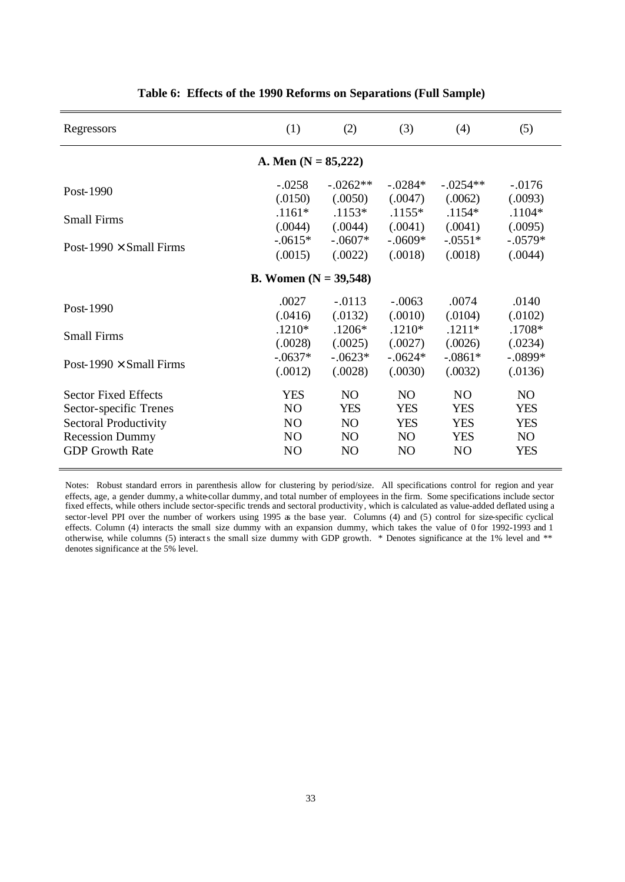| Regressors                      | (1)                                        | (2)                                          | (3)                                         | (4)                                          | (5)                                        |  |  |  |  |
|---------------------------------|--------------------------------------------|----------------------------------------------|---------------------------------------------|----------------------------------------------|--------------------------------------------|--|--|--|--|
| A. Men $(N = 85,222)$           |                                            |                                              |                                             |                                              |                                            |  |  |  |  |
| Post-1990<br><b>Small Firms</b> | $-.0258$<br>(.0150)<br>$.1161*$<br>(.0044) | $-.0262**$<br>(.0050)<br>$.1153*$<br>(.0044) | $-.0284*$<br>(.0047)<br>$.1155*$<br>(.0041) | $-.0254**$<br>(.0062)<br>$.1154*$<br>(.0041) | $-.0176$<br>(.0093)<br>$.1104*$<br>(.0095) |  |  |  |  |
| Post-1990 $\times$ Small Firms  | $-.0615*$                                  | $-.0607*$                                    | $-.0609*$                                   | $-.0551*$                                    | $-.0579*$                                  |  |  |  |  |
|                                 | (.0015)                                    | (.0022)                                      | (.0018)                                     | (.0018)                                      | (.0044)                                    |  |  |  |  |
|                                 | <b>B.</b> Women $(N = 39,548)$             |                                              |                                             |                                              |                                            |  |  |  |  |
| Post-1990                       | .0027                                      | $-.0113$                                     | $-.0063$                                    | .0074                                        | .0140                                      |  |  |  |  |
|                                 | (.0416)                                    | (.0132)                                      | (.0010)                                     | (.0104)                                      | (.0102)                                    |  |  |  |  |
| <b>Small Firms</b>              | $.1210*$                                   | $.1206*$                                     | $.1210*$                                    | $.1211*$                                     | .1708*                                     |  |  |  |  |
|                                 | (.0028)                                    | (.0025)                                      | (.0027)                                     | (.0026)                                      | (.0234)                                    |  |  |  |  |
| Post-1990 $\times$ Small Firms  | $-.0637*$                                  | $-.0623*$                                    | $-.0624*$                                   | $-.0861*$                                    | $-.0899*$                                  |  |  |  |  |
|                                 | (.0012)                                    | (.0028)                                      | (.0030)                                     | (.0032)                                      | (.0136)                                    |  |  |  |  |
| <b>Sector Fixed Effects</b>     | <b>YES</b>                                 | NO                                           | N <sub>O</sub>                              | N <sub>O</sub>                               | N <sub>O</sub>                             |  |  |  |  |
| Sector-specific Trenes          | N <sub>O</sub>                             | <b>YES</b>                                   | <b>YES</b>                                  | <b>YES</b>                                   | <b>YES</b>                                 |  |  |  |  |
| Sectoral Productivity           | N <sub>O</sub>                             | NO                                           | <b>YES</b>                                  | <b>YES</b>                                   | <b>YES</b>                                 |  |  |  |  |
| <b>Recession Dummy</b>          | N <sub>O</sub>                             | NO                                           | NO                                          | <b>YES</b>                                   | NO                                         |  |  |  |  |
| <b>GDP</b> Growth Rate          | N <sub>O</sub>                             | NO                                           | NO                                          | N <sub>O</sub>                               | <b>YES</b>                                 |  |  |  |  |

**Table 6: Effects of the 1990 Reforms on Separations (Full Sample)**

Notes: Robust standard errors in parenthesis allow for clustering by period/size. All specifications control for region and year effects, age, a gender dummy, a white-collar dummy, and total number of employees in the firm. Some specifications include sector fixed effects, while others include sector-specific trends and sectoral productivity, which is calculated as value-added deflated using a sector-level PPI over the number of workers using 1995 as the base year. Columns (4) and (5) control for size-specific cyclical effects. Column (4) interacts the small size dummy with an expansion dummy, which takes the value of 0 for 1992-1993 and 1 otherwise, while columns (5) interacts the small size dummy with GDP growth. \* Denotes significance at the 1% level and \*\* denotes significance at the 5% level.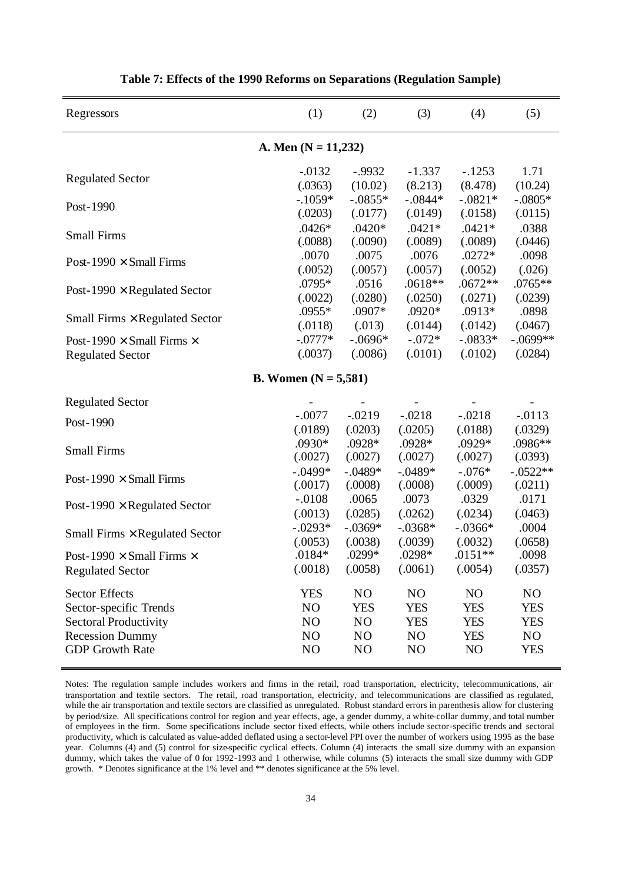| Regressors                              | (1)                           | (2)            | (3)            | (4)        | (5)            |  |  |  |
|-----------------------------------------|-------------------------------|----------------|----------------|------------|----------------|--|--|--|
| A. Men $(N = 11,232)$                   |                               |                |                |            |                |  |  |  |
| <b>Regulated Sector</b>                 | $-0.0132$                     | $-.9932$       | $-1.337$       | $-.1253$   | 1.71           |  |  |  |
|                                         | (.0363)                       | (10.02)        | (8.213)        | (8.478)    | (10.24)        |  |  |  |
| Post-1990                               | $-.1059*$                     | $-.0855*$      | $-.0844*$      | $-.0821*$  | $-.0805*$      |  |  |  |
|                                         | (.0203)                       | (.0177)        | (.0149)        | (.0158)    | (.0115)        |  |  |  |
| <b>Small Firms</b>                      | $.0426*$                      | $.0420*$       | $.0421*$       | $.0421*$   | .0388          |  |  |  |
|                                         | (.0088)                       | (.0090)        | (.0089)        | (.0089)    | (.0446)        |  |  |  |
| Post-1990 $\times$ Small Firms          | .0070                         | .0075          | .0076          | $.0272*$   | .0098          |  |  |  |
|                                         | (.0052)                       | (.0057)        | (.0057)        | (.0052)    | (.026)         |  |  |  |
|                                         | .0795*                        | .0516          | .0618**        | $.0672**$  | .0765**        |  |  |  |
| Post-1990 $\times$ Regulated Sector     | (.0022)                       | (.0280)        | (.0250)        | (.0271)    | (.0239)        |  |  |  |
|                                         | .0955*                        | .0907*         | $.0920*$       | .0913*     | .0898          |  |  |  |
| Small Firms $\times$ Regulated Sector   | (.0118)                       | (.013)         | (.0144)        | (.0142)    | (.0467)        |  |  |  |
| Post-1990 $\times$ Small Firms $\times$ | $-.0777*$                     | $-.0696*$      | $-.072*$       | $-.0833*$  | $-.0699**$     |  |  |  |
| <b>Regulated Sector</b>                 | (.0037)                       | (.0086)        | (.0101)        | (.0102)    | (.0284)        |  |  |  |
|                                         | <b>B.</b> Women $(N = 5,581)$ |                |                |            |                |  |  |  |
| <b>Regulated Sector</b>                 |                               |                |                |            |                |  |  |  |
| Post-1990                               | $-.0077$                      | $-0.0219$      | $-.0218$       | $-.0218$   | $-.0113$       |  |  |  |
|                                         | (.0189)                       | (.0203)        | (.0205)        | (.0188)    | (.0329)        |  |  |  |
| <b>Small Firms</b>                      | .0930*                        | .0928*         | .0928*         | .0929*     | .0986**        |  |  |  |
|                                         | (.0027)                       | (.0027)        | (.0027)        | (.0027)    | (.0393)        |  |  |  |
|                                         | $-.0499*$                     | $-.0489*$      | $-.0489*$      | $-.076*$   | $-.0522**$     |  |  |  |
| Post-1990 $\times$ Small Firms          | (.0017)                       | (.0008)        | (.0008)        | (.0009)    | (.0211)        |  |  |  |
|                                         | $-.0108$                      | .0065          | .0073          | .0329      | .0171          |  |  |  |
| Post-1990 $\times$ Regulated Sector     | (.0013)                       | (.0285)        | (.0262)        | (.0234)    | (.0463)        |  |  |  |
|                                         | $-.0293*$                     | $-.0369*$      | $-.0368*$      | $-.0366*$  | .0004          |  |  |  |
| Small Firms × Regulated Sector          | (.0053)                       | (.0038)        | (.0039)        | (.0032)    | (.0658)        |  |  |  |
| Post-1990 $\times$ Small Firms $\times$ | $.0184*$                      | .0299*         | .0298*         | $.0151**$  | .0098          |  |  |  |
| <b>Regulated Sector</b>                 | (.0018)                       | (.0058)        | (.0061)        | (.0054)    | (.0357)        |  |  |  |
| <b>Sector Effects</b>                   | <b>YES</b>                    | NO             | NO             | NO         | N <sub>O</sub> |  |  |  |
| Sector-specific Trends                  | N <sub>O</sub>                | <b>YES</b>     | <b>YES</b>     | <b>YES</b> | <b>YES</b>     |  |  |  |
| <b>Sectoral Productivity</b>            | NO                            | N <sub>O</sub> | <b>YES</b>     | <b>YES</b> | <b>YES</b>     |  |  |  |
| <b>Recession Dummy</b>                  | N <sub>O</sub>                | N <sub>O</sub> | NO             | <b>YES</b> | N <sub>O</sub> |  |  |  |
| <b>GDP</b> Growth Rate                  | NO                            | NO             | N <sub>O</sub> | NO         | <b>YES</b>     |  |  |  |

**Table 7: Effects of the 1990 Reforms on Separations (Regulation Sample)**

Notes: The regulation sample includes workers and firms in the retail, road transportation, electricity, telecommunications, air transportation and textile sectors. The retail, road transportation, electricity, and telecommunications are classified as regulated, while the air transportation and textile sectors are classified as unregulated. Robust standard errors in parenthesis allow for clustering by period/size. All specifications control for region and year effects, age, a gender dummy, a white-collar dummy, and total number of employees in the firm. Some specifications include sector fixed effects, while others include sector-specific trends and sectoral productivity, which is calculated as value-added deflated using a sector-level PPI over the number of workers using 1995 as the base year. Columns (4) and (5) control for size-specific cyclical effects. Column (4) interacts the small size dummy with an expansion dummy, which takes the value of 0 for 1992-1993 and 1 otherwise, while columns (5) interacts the small size dummy with GDP growth. \* Denotes significance at the 1% level and \*\* denotes significance at the 5% level.